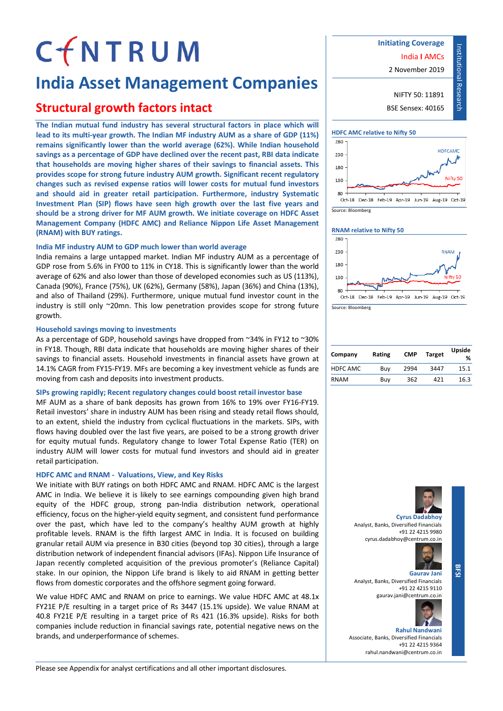# CTNTRUM

# **India Asset Management Companies**

## **Structural growth factors intact**

**The Indian mutual fund industry has several structural factors in place which will lead to its multi-year growth. The Indian MF industry AUM as a share of GDP (11%) remains significantly lower than the world average (62%). While Indian household savings as a percentage of GDP have declined over the recent past, RBI data indicate that households are moving higher shares of their savings to financial assets. This provides scope for strong future industry AUM growth. Significant recent regulatory changes such as revised expense ratios will lower costs for mutual fund investors and should aid in greater retail participation. Furthermore, industry Systematic Investment Plan (SIP) flows have seen high growth over the last five years and should be a strong driver for MF AUM growth. We initiate coverage on HDFC Asset Management Company (HDFC AMC) and Reliance Nippon Life Asset Management (RNAM) with BUY ratings.** 

#### **India MF industry AUM to GDP much lower than world average**

India remains a large untapped market. Indian MF industry AUM as a percentage of GDP rose from 5.6% in FY00 to 11% in CY18. This is significantly lower than the world average of 62% and also lower than those of developed economies such as US (113%), Canada (90%), France (75%), UK (62%), Germany (58%), Japan (36%) and China (13%), and also of Thailand (29%). Furthermore, unique mutual fund investor count in the industry is still only ~20mn. This low penetration provides scope for strong future growth.

#### **Household savings moving to investments**

As a percentage of GDP, household savings have dropped from ~34% in FY12 to ~30% in FY18. Though, RBI data indicate that households are moving higher shares of their savings to financial assets. Household investments in financial assets have grown at 14.1% CAGR from FY15-FY19. MFs are becoming a key investment vehicle as funds are moving from cash and deposits into investment products.

#### **SIPs growing rapidly; Recent regulatory changes could boost retail investor base**

MF AUM as a share of bank deposits has grown from 16% to 19% over FY16-FY19. Retail investors' share in industry AUM has been rising and steady retail flows should, to an extent, shield the industry from cyclical fluctuations in the markets. SIPs, with flows having doubled over the last five years, are poised to be a strong growth driver for equity mutual funds. Regulatory change to lower Total Expense Ratio (TER) on industry AUM will lower costs for mutual fund investors and should aid in greater retail participation.

#### **HDFC AMC and RNAM - Valuations, View, and Key Risks**

We initiate with BUY ratings on both HDFC AMC and RNAM. HDFC AMC is the largest AMC in India. We believe it is likely to see earnings compounding given high brand equity of the HDFC group, strong pan-India distribution network, operational efficiency, focus on the higher-yield equity segment, and consistent fund performance over the past, which have led to the company's healthy AUM growth at highly profitable levels. RNAM is the fifth largest AMC in India. It is focused on building granular retail AUM via presence in B30 cities (beyond top 30 cities), through a large distribution network of independent financial advisors (IFAs). Nippon Life Insurance of Japan recently completed acquisition of the previous promoter's (Reliance Capital) stake. In our opinion, the Nippon Life brand is likely to aid RNAM in getting better flows from domestic corporates and the offshore segment going forward.

We value HDFC AMC and RNAM on price to earnings. We value HDFC AMC at 48.1x FY21E P/E resulting in a target price of Rs 3447 (15.1% upside). We value RNAM at 40.8 FY21E P/E resulting in a target price of Rs 421 (16.3% upside). Risks for both companies include reduction in financial savings rate, potential negative news on the brands, and underperformance of schemes.

**Initiating Coverage** Institutional Research Institutional Research India **I** AMCs 2 November 2019 NIFTY 50: 11891 BSE Sensex: 40165

#### **HDFC AMC relative to Nifty 50**





| Company         | Rating | <b>CMP</b> | <b>Target</b> | <b>Upside</b><br>℅ |
|-----------------|--------|------------|---------------|--------------------|
| <b>HDFC AMC</b> | Buy    | 2994       | 3447          | 15.1               |
| RNAM            | Buy    | 362        | 421           | 16.3               |



**Cyrus Dadabhoy**  Analyst, Banks, Diversified Financials +91 22 4215 9980 cyrus.dadabhoy@centrum.co.in



**BFSI**

**Gaurav Jani**  Analyst, Banks, Diversified Financials +91 22 4215 9110 gaurav.jani@centrum.co.in



**Rahul Nandwani** Associate, Banks, Diversified Financials +91 22 4215 9364 rahul.nandwani@centrum.co.in

Please see Appendix for analyst certifications and all other important disclosures.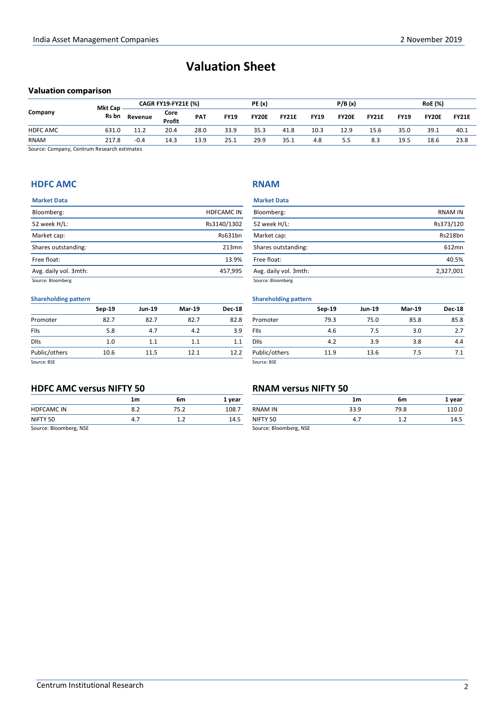## **Valuation Sheet**

#### **Valuation comparison**

|                 | <b>Mkt Cap</b> |         | <b>CAGR FY19-FY21E (%)</b> |            |             | PE(x)        |              |             | P/B(x)       |              |             | <b>RoE</b> (%) |              |
|-----------------|----------------|---------|----------------------------|------------|-------------|--------------|--------------|-------------|--------------|--------------|-------------|----------------|--------------|
| Company         | Rs bn          | Revenue | Core<br>Profit             | <b>PAT</b> | <b>FY19</b> | <b>FY20E</b> | <b>FY21E</b> | <b>FY19</b> | <b>FY20E</b> | <b>FY21E</b> | <b>FY19</b> | <b>FY20E</b>   | <b>FY21E</b> |
| <b>HDFC AMC</b> | 631.0          | 11.2    | 20.4                       | 28.0       | 33.9        | 35.3         | 41.8         | 10.3        | 12.9         | 15.6         | 35.0        | 39.1           | 40.1         |
| <b>RNAM</b>     | 217.8          | $-0.4$  | 14.3                       | 13.9       | 25.1        | 29.9         | 35.1         | 4.8         | 5.5          | 8.3          | 19.5        | 18.6           | 23.8         |

Source: Company, Centrum Research estimates

## **HDFC AMC RNAM Market Data**

| в. |  |  |  |
|----|--|--|--|
|    |  |  |  |
|    |  |  |  |
|    |  |  |  |

**Market Data**

| <b>HDFCAMC IN</b> |
|-------------------|
| Rs3140/1302       |
| Rs631bn           |
| 213mn             |
| 13.9%             |
| 457,995           |
|                   |
|                   |

| 52 week H/L:          | Rs373/120         |
|-----------------------|-------------------|
| Market cap:           | Rs218bn           |
| Shares outstanding:   | 612 <sub>mn</sub> |
| Free float:           | 40.5%             |
| Avg. daily vol. 3mth: | 2.327.001         |
| Source: Bloomberg     |                   |

**Bloomberg:** RNAM IN

#### **Shareholding pattern**

| - -           |        |               |               |               |
|---------------|--------|---------------|---------------|---------------|
|               | Sep-19 | <b>Jun-19</b> | <b>Mar-19</b> | <b>Dec-18</b> |
| Promoter      | 79.3   | 75.0          | 85.8          | 85.8          |
| <b>FIIs</b>   | 4.6    | 7.5           | 3.0           | 2.7           |
| <b>DIIs</b>   | 4.2    | 3.9           | 3.8           | 4.4           |
| Public/others | 11.9   | 13.6          | 7.5           | 7.1           |
| Source: BSE   |        |               |               |               |

#### **Shareholding pattern**

|               | Sep-19 | Jun-19 | <b>Mar-19</b> | <b>Dec-18</b> |
|---------------|--------|--------|---------------|---------------|
| Promoter      | 82.7   | 82.7   | 82.7          | 82.8          |
| FIIs          | 5.8    | 4.7    | 4.2           | 3.9           |
| <b>DIIs</b>   | 1.0    | 1.1    | 1.1           | 1.1           |
| Public/others | 10.6   | 11.5   | 12.1          | 12.2          |
| Source: BSE   |        |        |               |               |

#### **HDFC AMC versus NIFTY 50**

|                        | 1 <sub>m</sub> | 6m   | 1 year |
|------------------------|----------------|------|--------|
| <b>HDFCAMC IN</b>      | 8.2            | 75.2 | 108.7  |
| NIFTY 50               | 4.7            |      | 14.5   |
| Source: Bloomberg, NSE |                |      |        |

#### **RNAM versus NIFTY 50**

|                        | 1m   | 6m   | 1 year |
|------------------------|------|------|--------|
| <b>RNAM IN</b>         | 33.9 | 79.8 | 110.0  |
| NIFTY 50               | 4.7  | 19   | 14.5   |
| Source: Bloomberg, NSE |      |      |        |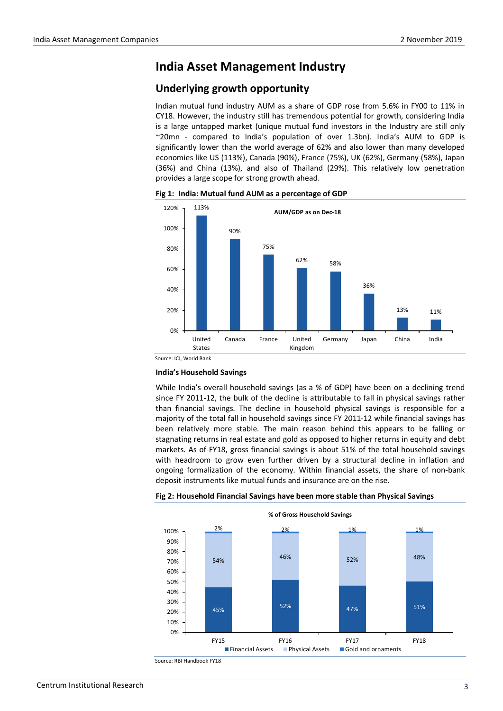## **India Asset Management Industry**

## **Underlying growth opportunity**

Indian mutual fund industry AUM as a share of GDP rose from 5.6% in FY00 to 11% in CY18. However, the industry still has tremendous potential for growth, considering India is a large untapped market (unique mutual fund investors in the Industry are still only ~20mn - compared to India's population of over 1.3bn). India's AUM to GDP is significantly lower than the world average of 62% and also lower than many developed economies like US (113%), Canada (90%), France (75%), UK (62%), Germany (58%), Japan (36%) and China (13%), and also of Thailand (29%). This relatively low penetration provides a large scope for strong growth ahead.



**Fig 1: India: Mutual fund AUM as a percentage of GDP**

Source: ICI, World Bank

#### **India's Household Savings**

While India's overall household savings (as a % of GDP) have been on a declining trend since FY 2011-12, the bulk of the decline is attributable to fall in physical savings rather than financial savings. The decline in household physical savings is responsible for a majority of the total fall in household savings since FY 2011-12 while financial savings has been relatively more stable. The main reason behind this appears to be falling or stagnating returns in real estate and gold as opposed to higher returns in equity and debt markets. As of FY18, gross financial savings is about 51% of the total household savings with headroom to grow even further driven by a structural decline in inflation and ongoing formalization of the economy. Within financial assets, the share of non-bank deposit instruments like mutual funds and insurance are on the rise.



**Fig 2: Household Financial Savings have been more stable than Physical Savings** 

Source: RBI Handbook FY18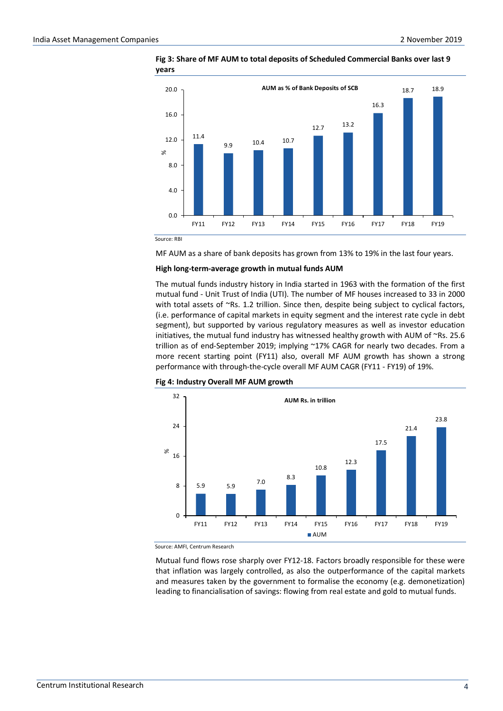

**Fig 3: Share of MF AUM to total deposits of Scheduled Commercial Banks over last 9 years**

Source: RBI

MF AUM as a share of bank deposits has grown from 13% to 19% in the last four years.

#### **High long-term-average growth in mutual funds AUM**

The mutual funds industry history in India started in 1963 with the formation of the first mutual fund - Unit Trust of India (UTI). The number of MF houses increased to 33 in 2000 with total assets of ~Rs. 1.2 trillion. Since then, despite being subject to cyclical factors, (i.e. performance of capital markets in equity segment and the interest rate cycle in debt segment), but supported by various regulatory measures as well as investor education initiatives, the mutual fund industry has witnessed healthy growth with AUM of ~Rs. 25.6 trillion as of end-September 2019; implying ~17% CAGR for nearly two decades. From a more recent starting point (FY11) also, overall MF AUM growth has shown a strong performance with through-the-cycle overall MF AUM CAGR (FY11 - FY19) of 19%.



**Fig 4: Industry Overall MF AUM growth** 

Source: AMFI, Centrum Research

Mutual fund flows rose sharply over FY12-18. Factors broadly responsible for these were that inflation was largely controlled, as also the outperformance of the capital markets and measures taken by the government to formalise the economy (e.g. demonetization) leading to financialisation of savings: flowing from real estate and gold to mutual funds.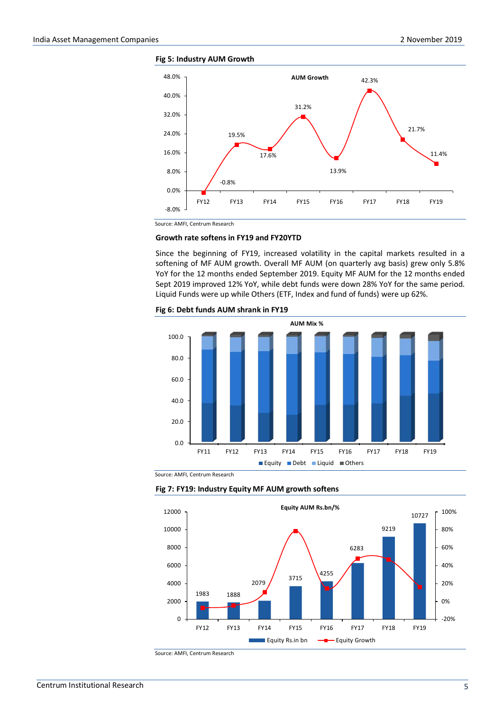#### **Fig 5: Industry AUM Growth**



Source: AMFI, Centrum Research

#### **Growth rate softens in FY19 and FY20YTD**

Since the beginning of FY19, increased volatility in the capital markets resulted in a softening of MF AUM growth. Overall MF AUM (on quarterly avg basis) grew only 5.8% YoY for the 12 months ended September 2019. Equity MF AUM for the 12 months ended Sept 2019 improved 12% YoY, while debt funds were down 28% YoY for the same period. Liquid Funds were up while Others (ETF, Index and fund of funds) were up 62%.

#### **Fig 6: Debt funds AUM shrank in FY19**



Source: AMFI, Centrum Research



**Fig 7: FY19: Industry Equity MF AUM growth softens**

Source: AMFI, Centrum Research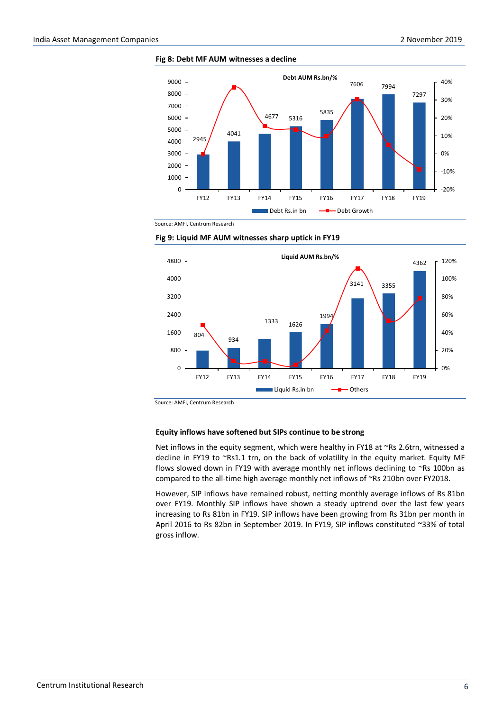#### **Fig 8: Debt MF AUM witnesses a decline**



Source: AMFI, Centrum Research





Source: AMFI, Centrum Research

#### **Equity inflows have softened but SIPs continue to be strong**

Net inflows in the equity segment, which were healthy in FY18 at ~Rs 2.6trn, witnessed a decline in FY19 to ~Rs1.1 trn, on the back of volatility in the equity market. Equity MF flows slowed down in FY19 with average monthly net inflows declining to ~Rs 100bn as compared to the all-time high average monthly net inflows of ~Rs 210bn over FY2018.

However, SIP inflows have remained robust, netting monthly average inflows of Rs 81bn over FY19. Monthly SIP inflows have shown a steady uptrend over the last few years increasing to Rs 81bn in FY19. SIP inflows have been growing from Rs 31bn per month in April 2016 to Rs 82bn in September 2019. In FY19, SIP inflows constituted ~33% of total gross inflow.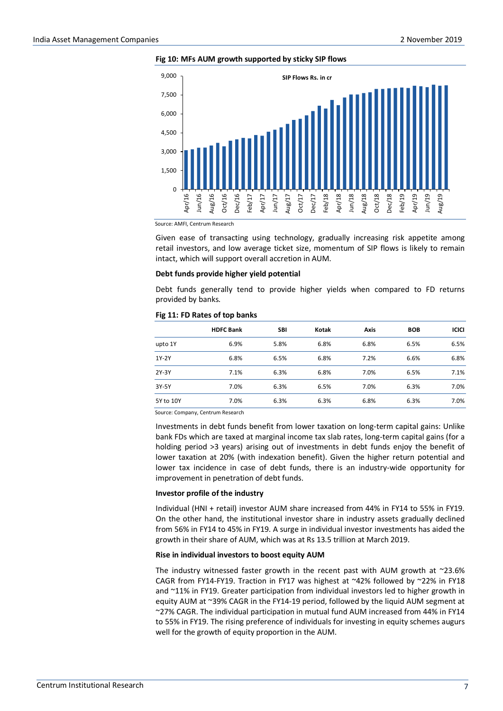#### **Fig 10: MFs AUM growth supported by sticky SIP flows**



Source: AMFI, Centrum Research

Given ease of transacting using technology, gradually increasing risk appetite among retail investors, and low average ticket size, momentum of SIP flows is likely to remain intact, which will support overall accretion in AUM.

#### **Debt funds provide higher yield potential**

Debt funds generally tend to provide higher yields when compared to FD returns provided by banks.

#### **Fig 11: FD Rates of top banks**

|           | <b>HDFC Bank</b>                  | <b>SBI</b> | Kotak | Axis | <b>BOB</b> | <b>ICICI</b> |
|-----------|-----------------------------------|------------|-------|------|------------|--------------|
| upto 1Y   | 6.9%                              | 5.8%       | 6.8%  | 6.8% | 6.5%       | 6.5%         |
| $1Y-2Y$   | 6.8%                              | 6.5%       | 6.8%  | 7.2% | 6.6%       | 6.8%         |
| 2Y-3Y     | 7.1%                              | 6.3%       | 6.8%  | 7.0% | 6.5%       | 7.1%         |
| $3Y-5Y$   | 7.0%                              | 6.3%       | 6.5%  | 7.0% | 6.3%       | 7.0%         |
| 5Y to 10Y | 7.0%                              | 6.3%       | 6.3%  | 6.8% | 6.3%       | 7.0%         |
|           | Coursey Company, Contrum Dossorsh |            |       |      |            |              |

Source: Company, Centrum Research

Investments in debt funds benefit from lower taxation on long-term capital gains: Unlike bank FDs which are taxed at marginal income tax slab rates, long-term capital gains (for a holding period >3 years) arising out of investments in debt funds enjoy the benefit of lower taxation at 20% (with indexation benefit). Given the higher return potential and lower tax incidence in case of debt funds, there is an industry-wide opportunity for improvement in penetration of debt funds.

#### **Investor profile of the industry**

Individual (HNI + retail) investor AUM share increased from 44% in FY14 to 55% in FY19. On the other hand, the institutional investor share in industry assets gradually declined from 56% in FY14 to 45% in FY19. A surge in individual investor investments has aided the growth in their share of AUM, which was at Rs 13.5 trillion at March 2019.

#### **Rise in individual investors to boost equity AUM**

The industry witnessed faster growth in the recent past with AUM growth at ~23.6% CAGR from FY14-FY19. Traction in FY17 was highest at ~42% followed by ~22% in FY18 and ~11% in FY19. Greater participation from individual investors led to higher growth in equity AUM at ~39% CAGR in the FY14-19 period, followed by the liquid AUM segment at ~27% CAGR. The individual participation in mutual fund AUM increased from 44% in FY14 to 55% in FY19. The rising preference of individuals for investing in equity schemes augurs well for the growth of equity proportion in the AUM.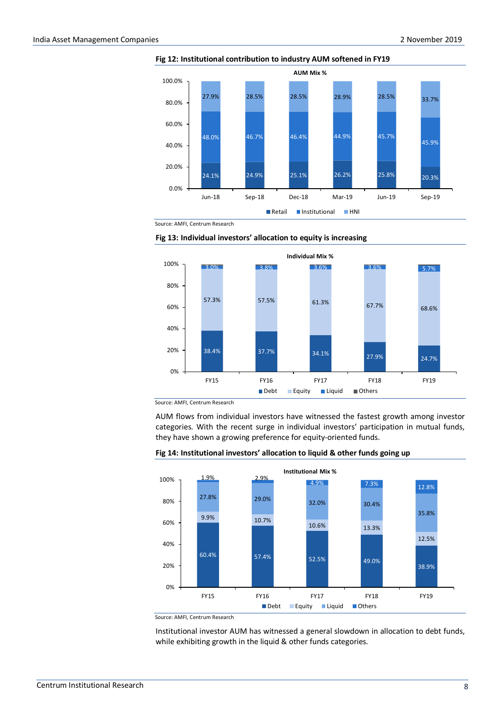

**Fig 12: Institutional contribution to industry AUM softened in FY19**

Source: AMFI, Centrum Research





Source: AMFI, Centrum Research

AUM flows from individual investors have witnessed the fastest growth among investor categories. With the recent surge in individual investors' participation in mutual funds, they have shown a growing preference for equity-oriented funds.



#### **Fig 14: Institutional investors' allocation to liquid & other funds going up**

Source: AMFI, Centrum Research

Institutional investor AUM has witnessed a general slowdown in allocation to debt funds, while exhibiting growth in the liquid & other funds categories.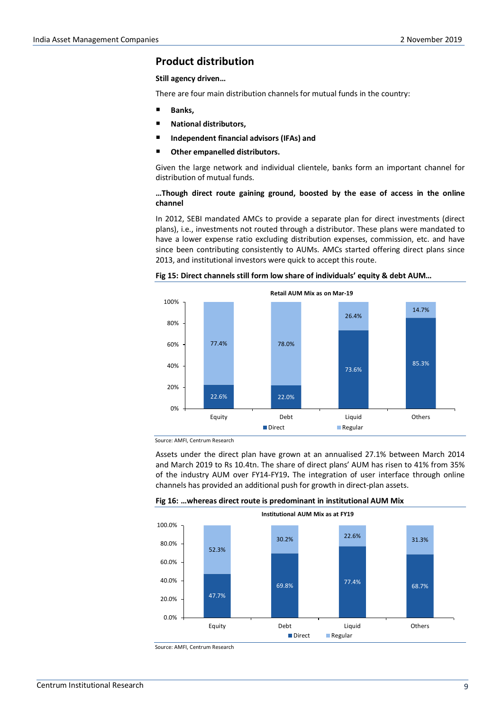#### **Product distribution**

#### **Still agency driven…**

There are four main distribution channels for mutual funds in the country:

- **Banks**,
- **National distributors,**
- **Independent financial advisors (IFAs) and**
- **Other empanelled distributors.**

Given the large network and individual clientele, banks form an important channel for distribution of mutual funds.

#### **…Though direct route gaining ground, boosted by the ease of access in the online channel**

In 2012, SEBI mandated AMCs to provide a separate plan for direct investments (direct plans), i.e., investments not routed through a distributor. These plans were mandated to have a lower expense ratio excluding distribution expenses, commission, etc. and have since been contributing consistently to AUMs. AMCs started offering direct plans since 2013, and institutional investors were quick to accept this route.





Source: AMFI, Centrum Research

Assets under the direct plan have grown at an annualised 27.1% between March 2014 and March 2019 to Rs 10.4tn. The share of direct plans' AUM has risen to 41% from 35% of the industry AUM over FY14-FY19**.** The integration of user interface through online channels has provided an additional push for growth in direct-plan assets.



**Fig 16: …whereas direct route is predominant in institutional AUM Mix**

Source: AMFI, Centrum Research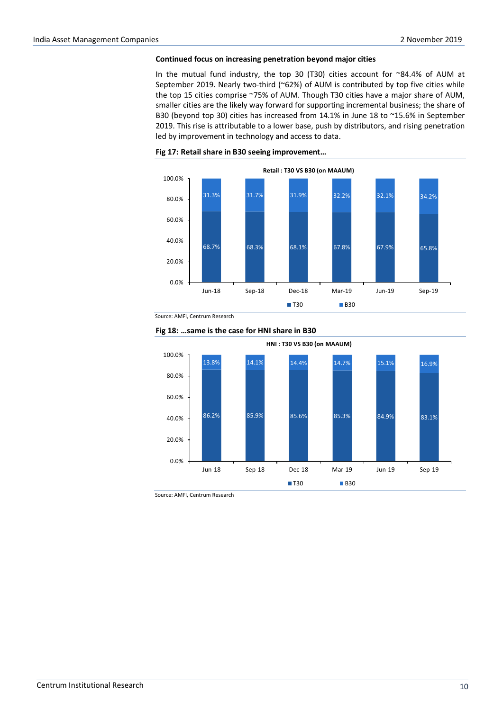#### **Continued focus on increasing penetration beyond major cities**

In the mutual fund industry, the top 30 (T30) cities account for ~84.4% of AUM at September 2019. Nearly two-third (~62%) of AUM is contributed by top five cities while the top 15 cities comprise ~75% of AUM. Though T30 cities have a major share of AUM, smaller cities are the likely way forward for supporting incremental business; the share of B30 (beyond top 30) cities has increased from 14.1% in June 18 to ~15.6% in September 2019. This rise is attributable to a lower base, push by distributors, and rising penetration led by improvement in technology and access to data.



#### **Fig 17: Retail share in B30 seeing improvement…**

Source: AMFI, Centrum Research



#### **Fig 18: …same is the case for HNI share in B30**

Source: AMFI, Centrum Research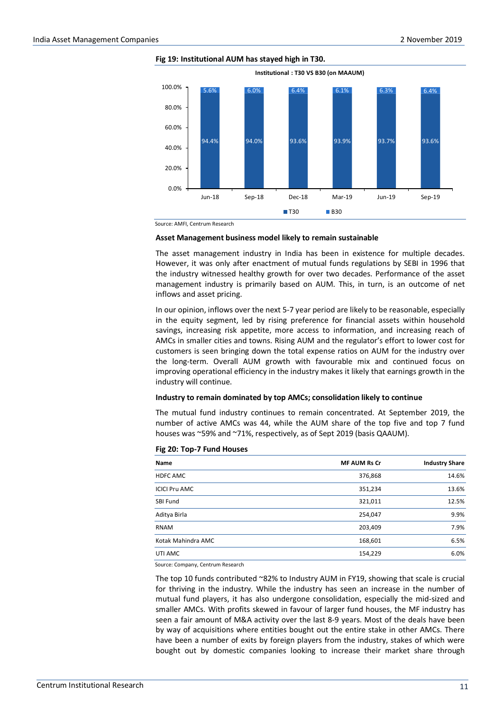

#### **Fig 19: Institutional AUM has stayed high in T30.**



#### **Asset Management business model likely to remain sustainable**

The asset management industry in India has been in existence for multiple decades. However, it was only after enactment of mutual funds regulations by SEBI in 1996 that the industry witnessed healthy growth for over two decades. Performance of the asset management industry is primarily based on AUM. This, in turn, is an outcome of net inflows and asset pricing.

In our opinion, inflows over the next 5-7 year period are likely to be reasonable, especially in the equity segment, led by rising preference for financial assets within household savings, increasing risk appetite, more access to information, and increasing reach of AMCs in smaller cities and towns. Rising AUM and the regulator's effort to lower cost for customers is seen bringing down the total expense ratios on AUM for the industry over the long-term. Overall AUM growth with favourable mix and continued focus on improving operational efficiency in the industry makes it likely that earnings growth in the industry will continue.

#### **Industry to remain dominated by top AMCs; consolidation likely to continue**

The mutual fund industry continues to remain concentrated. At September 2019, the number of active AMCs was 44, while the AUM share of the top five and top 7 fund houses was ~59% and ~71%, respectively, as of Sept 2019 (basis QAAUM).

| Name                 | <b>MF AUM Rs Cr</b> | <b>Industry Share</b> |
|----------------------|---------------------|-----------------------|
| <b>HDFC AMC</b>      | 376,868             | 14.6%                 |
| <b>ICICI Pru AMC</b> | 351,234             | 13.6%                 |
| SBI Fund             | 321,011             | 12.5%                 |
| Aditya Birla         | 254,047             | 9.9%                  |
| <b>RNAM</b>          | 203,409             | 7.9%                  |
| Kotak Mahindra AMC   | 168,601             | 6.5%                  |
| UTI AMC              | 154,229             | 6.0%                  |

#### **Fig 20: Top-7 Fund Houses**

Source: Company, Centrum Research

The top 10 funds contributed ~82% to Industry AUM in FY19, showing that scale is crucial for thriving in the industry. While the industry has seen an increase in the number of mutual fund players, it has also undergone consolidation, especially the mid-sized and smaller AMCs. With profits skewed in favour of larger fund houses, the MF industry has seen a fair amount of M&A activity over the last 8-9 years. Most of the deals have been by way of acquisitions where entities bought out the entire stake in other AMCs. There have been a number of exits by foreign players from the industry, stakes of which were bought out by domestic companies looking to increase their market share through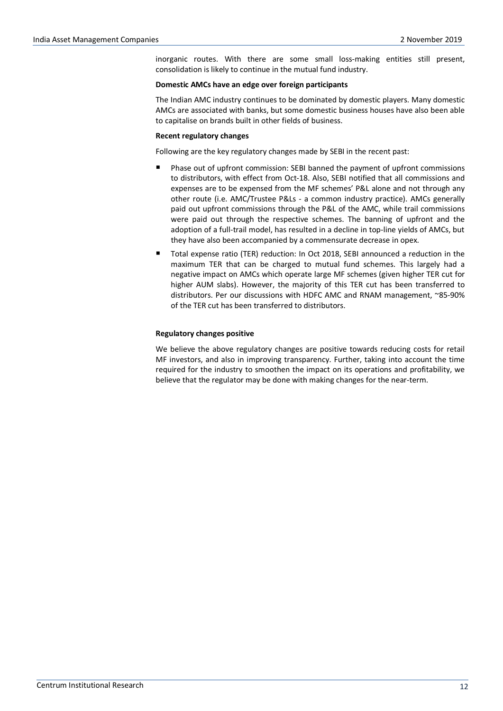inorganic routes. With there are some small loss-making entities still present, consolidation is likely to continue in the mutual fund industry.

#### **Domestic AMCs have an edge over foreign participants**

The Indian AMC industry continues to be dominated by domestic players. Many domestic AMCs are associated with banks, but some domestic business houses have also been able to capitalise on brands built in other fields of business.

#### **Recent regulatory changes**

Following are the key regulatory changes made by SEBI in the recent past:

- Phase out of upfront commission: SEBI banned the payment of upfront commissions to distributors, with effect from Oct-18. Also, SEBI notified that all commissions and expenses are to be expensed from the MF schemes' P&L alone and not through any other route (i.e. AMC/Trustee P&Ls - a common industry practice). AMCs generally paid out upfront commissions through the P&L of the AMC, while trail commissions were paid out through the respective schemes. The banning of upfront and the adoption of a full-trail model, has resulted in a decline in top-line yields of AMCs, but they have also been accompanied by a commensurate decrease in opex.
- Total expense ratio (TER) reduction: In Oct 2018, SEBI announced a reduction in the maximum TER that can be charged to mutual fund schemes. This largely had a negative impact on AMCs which operate large MF schemes (given higher TER cut for higher AUM slabs). However, the majority of this TER cut has been transferred to distributors. Per our discussions with HDFC AMC and RNAM management, ~85-90% of the TER cut has been transferred to distributors.

#### **Regulatory changes positive**

We believe the above regulatory changes are positive towards reducing costs for retail MF investors, and also in improving transparency. Further, taking into account the time required for the industry to smoothen the impact on its operations and profitability, we believe that the regulator may be done with making changes for the near-term.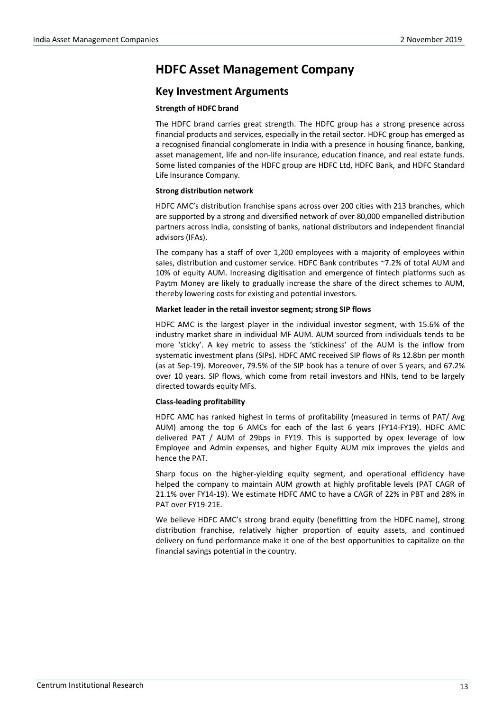## **HDFC Asset Management Company**

## **Key Investment Arguments**

#### **Strength of HDFC brand**

The HDFC brand carries great strength. The HDFC group has a strong presence across financial products and services, especially in the retail sector. HDFC group has emerged as a recognised financial conglomerate in India with a presence in housing finance, banking, asset management, life and non-life insurance, education finance, and real estate funds. Some listed companies of the HDFC group are HDFC Ltd, HDFC Bank, and HDFC Standard Life Insurance Company.

#### **Strong distribution network**

HDFC AMC's distribution franchise spans across over 200 cities with 213 branches, which are supported by a strong and diversified network of over 80,000 empanelled distribution partners across India, consisting of banks, national distributors and independent financial advisors (IFAs).

The company has a staff of over 1,200 employees with a majority of employees within sales, distribution and customer service. HDFC Bank contributes ~7.2% of total AUM and 10% of equity AUM. Increasing digitisation and emergence of fintech platforms such as Paytm Money are likely to gradually increase the share of the direct schemes to AUM, thereby lowering costs for existing and potential investors.

#### **Market leader in the retail investor segment; strong SIP flows**

HDFC AMC is the largest player in the individual investor segment, with 15.6% of the industry market share in individual MF AUM. AUM sourced from individuals tends to be more 'sticky'. A key metric to assess the 'stickiness' of the AUM is the inflow from systematic investment plans (SIPs). HDFC AMC received SIP flows of Rs 12.8bn per month (as at Sep-19). Moreover, 79.5% of the SIP book has a tenure of over 5 years, and 67.2% over 10 years. SIP flows, which come from retail investors and HNIs, tend to be largely directed towards equity MFs.

#### **Class-leading profitability**

HDFC AMC has ranked highest in terms of profitability (measured in terms of PAT/ Avg AUM) among the top 6 AMCs for each of the last 6 years (FY14-FY19). HDFC AMC delivered PAT / AUM of 29bps in FY19. This is supported by opex leverage of low Employee and Admin expenses, and higher Equity AUM mix improves the yields and hence the PAT.

Sharp focus on the higher-yielding equity segment, and operational efficiency have helped the company to maintain AUM growth at highly profitable levels (PAT CAGR of 21.1% over FY14-19). We estimate HDFC AMC to have a CAGR of 22% in PBT and 28% in PAT over FY19-21E.

We believe HDFC AMC's strong brand equity (benefitting from the HDFC name), strong distribution franchise, relatively higher proportion of equity assets, and continued delivery on fund performance make it one of the best opportunities to capitalize on the financial savings potential in the country.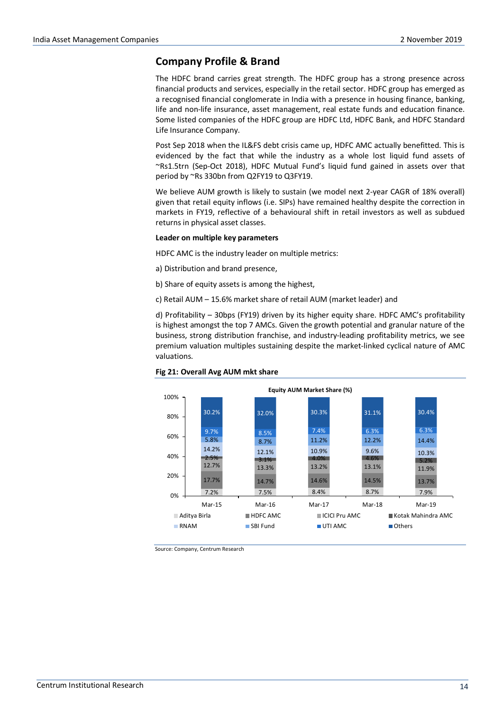#### **Company Profile & Brand**

The HDFC brand carries great strength. The HDFC group has a strong presence across financial products and services, especially in the retail sector. HDFC group has emerged as a recognised financial conglomerate in India with a presence in housing finance, banking, life and non-life insurance, asset management, real estate funds and education finance. Some listed companies of the HDFC group are HDFC Ltd, HDFC Bank, and HDFC Standard Life Insurance Company.

Post Sep 2018 when the IL&FS debt crisis came up, HDFC AMC actually benefitted. This is evidenced by the fact that while the industry as a whole lost liquid fund assets of ~Rs1.5trn (Sep-Oct 2018), HDFC Mutual Fund's liquid fund gained in assets over that period by ~Rs 330bn from Q2FY19 to Q3FY19.

We believe AUM growth is likely to sustain (we model next 2-year CAGR of 18% overall) given that retail equity inflows (i.e. SIPs) have remained healthy despite the correction in markets in FY19, reflective of a behavioural shift in retail investors as well as subdued returns in physical asset classes.

#### **Leader on multiple key parameters**

HDFC AMC is the industry leader on multiple metrics:

- a) Distribution and brand presence,
- b) Share of equity assets is among the highest,
- c) Retail AUM 15.6% market share of retail AUM (market leader) and

d) Profitability – 30bps (FY19) driven by its higher equity share. HDFC AMC's profitability is highest amongst the top 7 AMCs. Given the growth potential and granular nature of the business, strong distribution franchise, and industry-leading profitability metrics, we see premium valuation multiples sustaining despite the market-linked cyclical nature of AMC valuations.



#### **Fig 21: Overall Avg AUM mkt share**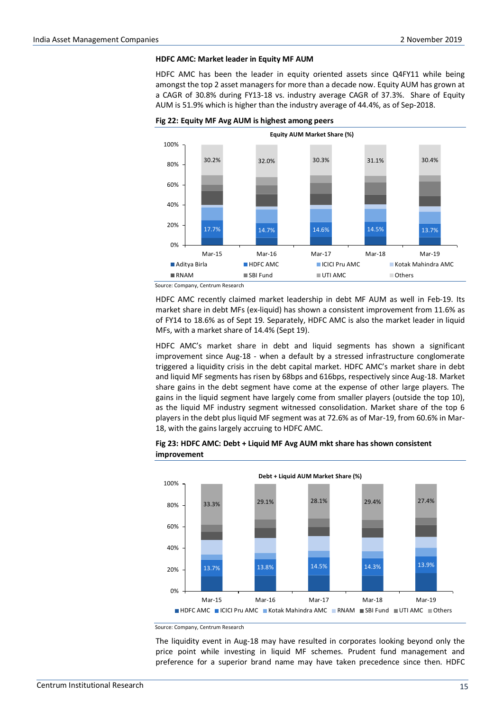#### **HDFC AMC: Market leader in Equity MF AUM**

HDFC AMC has been the leader in equity oriented assets since Q4FY11 while being amongst the top 2 asset managers for more than a decade now. Equity AUM has grown at a CAGR of 30.8% during FY13-18 vs. industry average CAGR of 37.3%. Share of Equity AUM is 51.9% which is higher than the industry average of 44.4%, as of Sep-2018.



**Fig 22: Equity MF Avg AUM is highest among peers** 

Source: Company, Centrum Research

HDFC AMC recently claimed market leadership in debt MF AUM as well in Feb-19. Its market share in debt MFs (ex-liquid) has shown a consistent improvement from 11.6% as of FY14 to 18.6% as of Sept 19. Separately, HDFC AMC is also the market leader in liquid MFs, with a market share of 14.4% (Sept 19).

HDFC AMC's market share in debt and liquid segments has shown a significant improvement since Aug-18 - when a default by a stressed infrastructure conglomerate triggered a liquidity crisis in the debt capital market. HDFC AMC's market share in debt and liquid MF segments has risen by 68bps and 616bps, respectively since Aug-18. Market share gains in the debt segment have come at the expense of other large players. The gains in the liquid segment have largely come from smaller players (outside the top 10), as the liquid MF industry segment witnessed consolidation. Market share of the top 6 players in the debt plus liquid MF segment was at 72.6% as of Mar-19, from 60.6% in Mar-18, with the gains largely accruing to HDFC AMC.



#### **Fig 23: HDFC AMC: Debt + Liquid MF Avg AUM mkt share has shown consistent improvement**

Source: Company, Centrum Research

The liquidity event in Aug-18 may have resulted in corporates looking beyond only the price point while investing in liquid MF schemes. Prudent fund management and preference for a superior brand name may have taken precedence since then. HDFC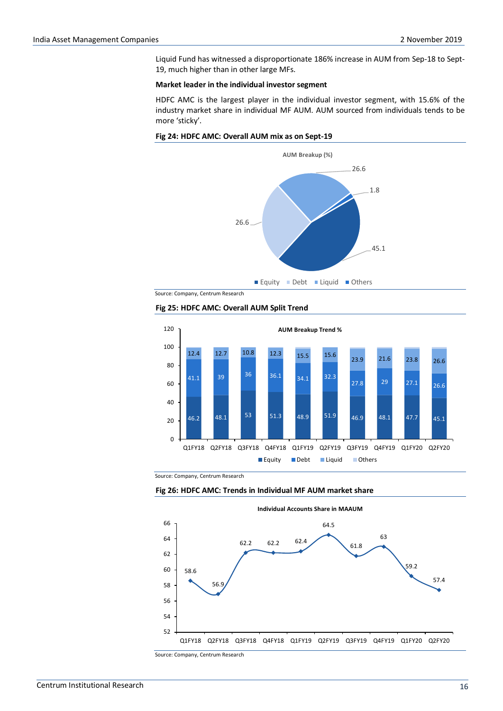Liquid Fund has witnessed a disproportionate 186% increase in AUM from Sep-18 to Sept-19, much higher than in other large MFs.

#### **Market leader in the individual investor segment**

HDFC AMC is the largest player in the individual investor segment, with 15.6% of the industry market share in individual MF AUM. AUM sourced from individuals tends to be more 'sticky'.





Source: Company, Centrum Research

#### **Fig 25: HDFC AMC: Overall AUM Split Trend**



Source: Company, Centrum Research



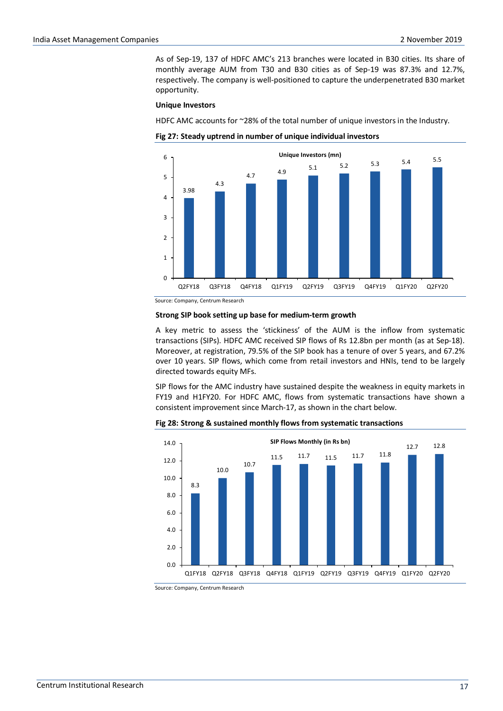As of Sep-19, 137 of HDFC AMC's 213 branches were located in B30 cities. Its share of monthly average AUM from T30 and B30 cities as of Sep-19 was 87.3% and 12.7%, respectively. The company is well-positioned to capture the underpenetrated B30 market opportunity.

#### **Unique Investors**

HDFC AMC accounts for ~28% of the total number of unique investors in the Industry.





Source: Company, Centrum Research

#### **Strong SIP book setting up base for medium-term growth**

A key metric to assess the 'stickiness' of the AUM is the inflow from systematic transactions (SIPs). HDFC AMC received SIP flows of Rs 12.8bn per month (as at Sep-18). Moreover, at registration, 79.5% of the SIP book has a tenure of over 5 years, and 67.2% over 10 years. SIP flows, which come from retail investors and HNIs, tend to be largely directed towards equity MFs.

SIP flows for the AMC industry have sustained despite the weakness in equity markets in FY19 and H1FY20. For HDFC AMC, flows from systematic transactions have shown a consistent improvement since March-17, as shown in the chart below.



**Fig 28: Strong & sustained monthly flows from systematic transactions**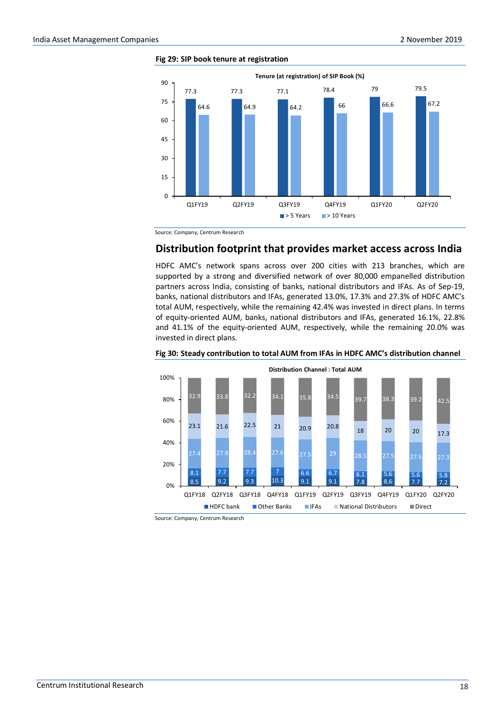#### **Fig 29: SIP book tenure at registration**



Source: Company, Centrum Research

## **Distribution footprint that provides market access across India**

HDFC AMC's network spans across over 200 cities with 213 branches, which are supported by a strong and diversified network of over 80,000 empanelled distribution partners across India, consisting of banks, national distributors and IFAs. As of Sep-19, banks, national distributors and IFAs, generated 13.0%, 17.3% and 27.3% of HDFC AMC's total AUM, respectively, while the remaining 42.4% was invested in direct plans. In terms of equity-oriented AUM, banks, national distributors and IFAs, generated 16.1%, 22.8% and 41.1% of the equity-oriented AUM, respectively, while the remaining 20.0% was invested in direct plans.



#### **Fig 30: Steady contribution to total AUM from IFAs in HDFC AMC's distribution channel**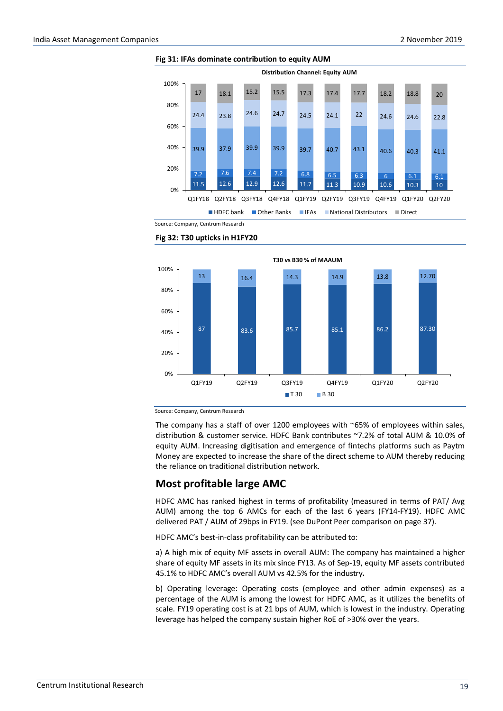



Source: Company, Centrum Research





Source: Company, Centrum Research

The company has a staff of over 1200 employees with  $\sim$ 65% of employees within sales, distribution & customer service. HDFC Bank contributes ~7.2% of total AUM & 10.0% of equity AUM. Increasing digitisation and emergence of fintechs platforms such as Paytm Money are expected to increase the share of the direct scheme to AUM thereby reducing the reliance on traditional distribution network.

#### **Most profitable large AMC**

HDFC AMC has ranked highest in terms of profitability (measured in terms of PAT/ Avg AUM) among the top 6 AMCs for each of the last 6 years (FY14-FY19). HDFC AMC delivered PAT / AUM of 29bps in FY19. (see DuPont Peer comparison on page 37).

HDFC AMC's best-in-class profitability can be attributed to:

a) A high mix of equity MF assets in overall AUM: The company has maintained a higher share of equity MF assets in its mix since FY13. As of Sep-19, equity MF assets contributed 45.1% to HDFC AMC's overall AUM vs 42.5% for the industry**.**

b) Operating leverage: Operating costs (employee and other admin expenses) as a percentage of the AUM is among the lowest for HDFC AMC, as it utilizes the benefits of scale. FY19 operating cost is at 21 bps of AUM, which is lowest in the industry. Operating leverage has helped the company sustain higher RoE of >30% over the years.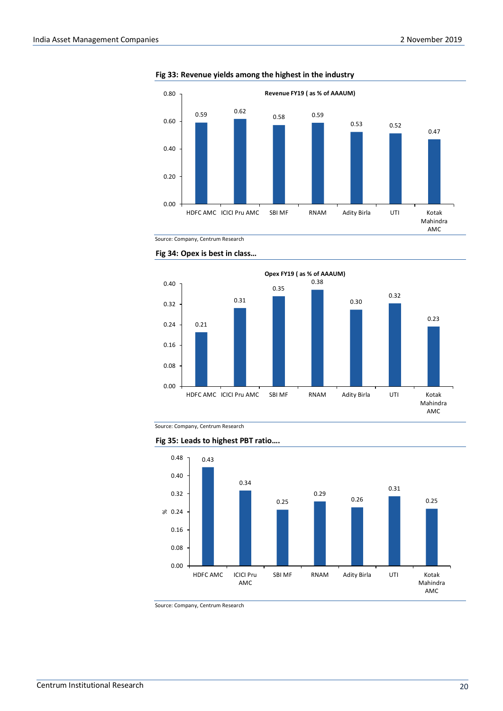

**Fig 33: Revenue yields among the highest in the industry**

Source: Company, Centrum Research



**Fig 34: Opex is best in class…**

Source: Company, Centrum Research



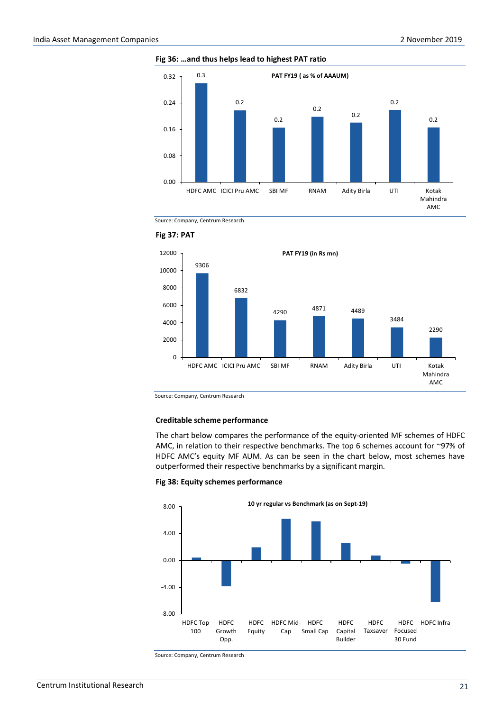#### **Fig 36: …and thus helps lead to highest PAT ratio**



Source: Company, Centrum Research



Source: Company, Centrum Research

#### **Creditable scheme performance**

The chart below compares the performance of the equity-oriented MF schemes of HDFC AMC, in relation to their respective benchmarks. The top 6 schemes account for ~97% of HDFC AMC's equity MF AUM. As can be seen in the chart below, most schemes have outperformed their respective benchmarks by a significant margin.

**Fig 38: Equity schemes performance**

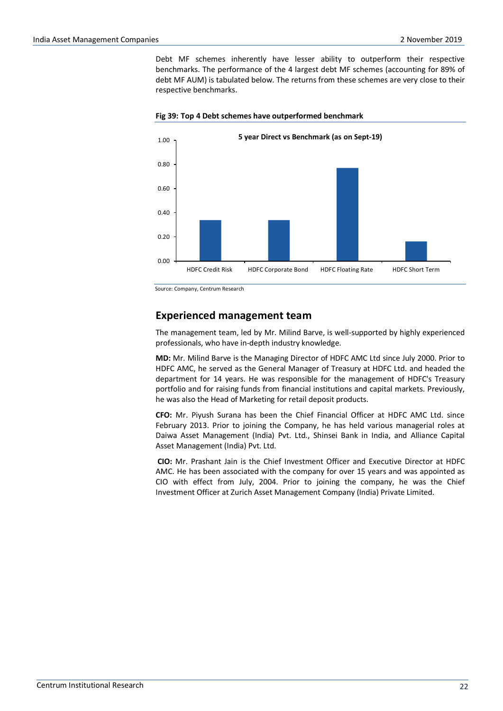Debt MF schemes inherently have lesser ability to outperform their respective benchmarks. The performance of the 4 largest debt MF schemes (accounting for 89% of debt MF AUM) is tabulated below. The returns from these schemes are very close to their respective benchmarks.



#### **Fig 39: Top 4 Debt schemes have outperformed benchmark**

Source: Company, Centrum Research

#### **Experienced management team**

The management team, led by Mr. Milind Barve, is well-supported by highly experienced professionals, who have in-depth industry knowledge.

**MD:** Mr. Milind Barve is the Managing Director of HDFC AMC Ltd since July 2000. Prior to HDFC AMC, he served as the General Manager of Treasury at HDFC Ltd. and headed the department for 14 years. He was responsible for the management of HDFC's Treasury portfolio and for raising funds from financial institutions and capital markets. Previously, he was also the Head of Marketing for retail deposit products.

**CFO:** Mr. Piyush Surana has been the Chief Financial Officer at HDFC AMC Ltd. since February 2013. Prior to joining the Company, he has held various managerial roles at Daiwa Asset Management (India) Pvt. Ltd., Shinsei Bank in India, and Alliance Capital Asset Management (India) Pvt. Ltd.

**CIO:** Mr. Prashant Jain is the Chief Investment Officer and Executive Director at HDFC AMC. He has been associated with the company for over 15 years and was appointed as CIO with effect from July, 2004. Prior to joining the company, he was the Chief Investment Officer at Zurich Asset Management Company (India) Private Limited.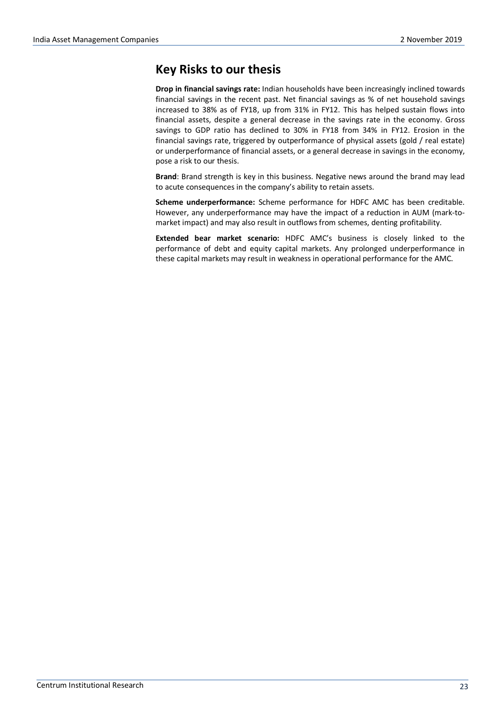## **Key Risks to our thesis**

**Drop in financial savings rate:** Indian households have been increasingly inclined towards financial savings in the recent past. Net financial savings as % of net household savings increased to 38% as of FY18, up from 31% in FY12. This has helped sustain flows into financial assets, despite a general decrease in the savings rate in the economy. Gross savings to GDP ratio has declined to 30% in FY18 from 34% in FY12. Erosion in the financial savings rate, triggered by outperformance of physical assets (gold / real estate) or underperformance of financial assets, or a general decrease in savings in the economy, pose a risk to our thesis.

**Brand**: Brand strength is key in this business. Negative news around the brand may lead to acute consequences in the company's ability to retain assets.

**Scheme underperformance:** Scheme performance for HDFC AMC has been creditable. However, any underperformance may have the impact of a reduction in AUM (mark-tomarket impact) and may also result in outflows from schemes, denting profitability.

**Extended bear market scenario:** HDFC AMC's business is closely linked to the performance of debt and equity capital markets. Any prolonged underperformance in these capital markets may result in weakness in operational performance for the AMC.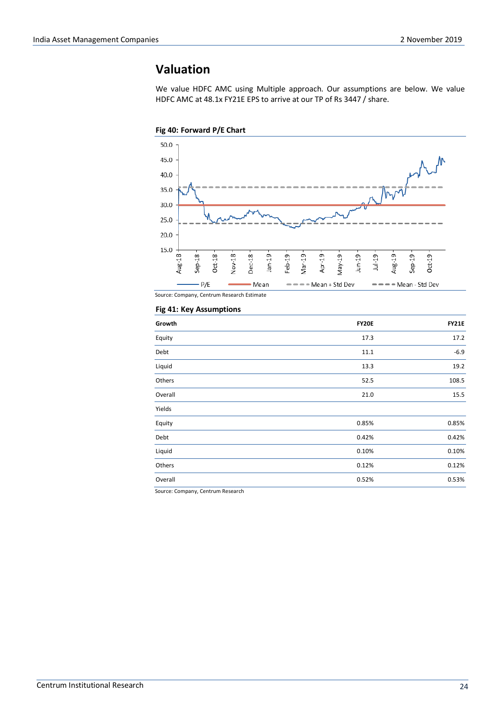## **Valuation**

We value HDFC AMC using Multiple approach. Our assumptions are below. We value HDFC AMC at 48.1x FY21E EPS to arrive at our TP of Rs 3447 / share.



Source: Company, Centrum Research Estimate

#### **Fig 41: Key Assumptions**

| <b>FY20E</b> | <b>FY21E</b> |
|--------------|--------------|
| 17.3         | 17.2         |
| 11.1         | $-6.9$       |
| 13.3         | 19.2         |
| 52.5         | 108.5        |
| 21.0         | 15.5         |
|              |              |
| 0.85%        | 0.85%        |
| 0.42%        | 0.42%        |
| 0.10%        | 0.10%        |
| 0.12%        | 0.12%        |
| 0.52%        | 0.53%        |
|              |              |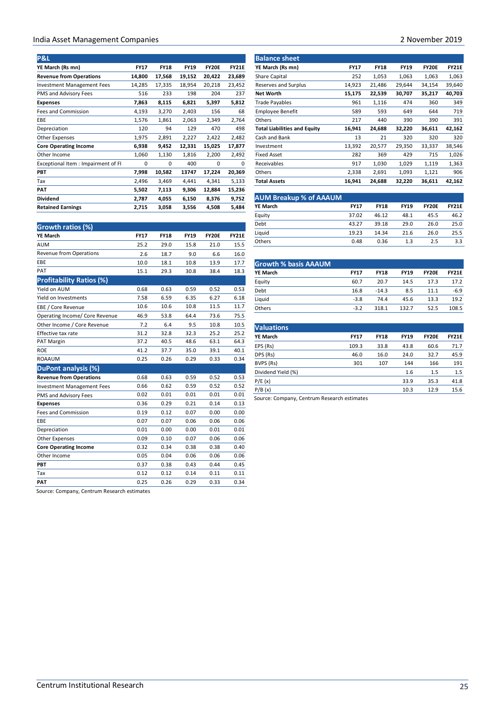#### India Asset Management Companies

| <b>P&amp;L</b>                      |             |             |             |              |              |
|-------------------------------------|-------------|-------------|-------------|--------------|--------------|
| YE March (Rs mn)                    | <b>FY17</b> | <b>FY18</b> | <b>FY19</b> | <b>FY20E</b> | <b>FY21E</b> |
| <b>Revenue from Operations</b>      | 14,800      | 17,568      | 19,152      | 20,422       | 23,689       |
| <b>Investment Management Fees</b>   | 14,285      | 17,335      | 18,954      | 20,218       | 23,452       |
| PMS and Advisory Fees               | 516         | 233         | 198         | 204          | 237          |
| <b>Expenses</b>                     | 7,863       | 8,115       | 6,821       | 5,397        | 5,812        |
| <b>Fees and Commission</b>          | 4,193       | 3,270       | 2,403       | 156          | 68           |
| EBE                                 | 1,576       | 1,861       | 2,063       | 2,349        | 2,764        |
| Depreciation                        | 120         | 94          | 129         | 470          | 498          |
| Other Expenses                      | 1,975       | 2,891       | 2,227       | 2,422        | 2,482        |
| <b>Core Operating Income</b>        | 6,938       | 9,452       | 12,331      | 15,025       | 17,877       |
| Other Income                        | 1,060       | 1,130       | 1,816       | 2,200        | 2,492        |
| Exceptional Item : Impairment of FI | 0           | $\Omega$    | 400         | $\Omega$     | 0            |
| <b>PBT</b>                          | 7,998       | 10,582      | 13747       | 17,224       | 20,369       |
| Tax                                 | 2,496       | 3,469       | 4,441       | 4,341        | 5,133        |
| <b>PAT</b>                          | 5,502       | 7,113       | 9,306       | 12,884       | 15,236       |
| <b>Dividend</b>                     | 2,787       | 4,055       | 6,150       | 8,376        | 9,752        |
| <b>Retained Earnings</b>            | 2,715       | 3,058       | 3,556       | 4,508        | 5,484        |

| Growth ratios (%)                 |             |             |             |              |              |
|-----------------------------------|-------------|-------------|-------------|--------------|--------------|
| <b>YE March</b>                   | <b>FY17</b> | <b>FY18</b> | <b>FY19</b> | <b>FY20E</b> | <b>FY21E</b> |
| <b>AUM</b>                        | 25.2        | 29.0        | 15.8        | 21.0         | 15.5         |
| <b>Revenue from Operations</b>    | 2.6         | 18.7        | 9.0         | 6.6          | 16.0         |
| EBE                               | 10.0        | 18.1        | 10.8        | 13.9         | 17.7         |
| PAT                               | 15.1        | 29.3        | 30.8        | 38.4         | 18.3         |
| <b>Profitability Ratios (%)</b>   |             |             |             |              |              |
| Yield on AUM                      | 0.68        | 0.63        | 0.59        | 0.52         | 0.53         |
| Yield on Investments              | 7.58        | 6.59        | 6.35        | 6.27         | 6.18         |
| EBE / Core Revenue                | 10.6        | 10.6        | 10.8        | 11.5         | 11.7         |
| Operating Income/ Core Revenue    | 46.9        | 53.8        | 64.4        | 73.6         | 75.5         |
| Other Income / Core Revenue       | 7.2         | 6.4         | 9.5         | 10.8         | 10.5         |
| Effective tax rate                | 31.2        | 32.8        | 32.3        | 25.2         | 25.2         |
| PAT Margin                        | 37.2        | 40.5        | 48.6        | 63.1         | 64.3         |
| <b>ROE</b>                        | 41.2        | 37.7        | 35.0        | 39.1         | 40.1         |
| <b>ROAAUM</b>                     | 0.25        | 0.26        | 0.29        | 0.33         | 0.34         |
| DuPont analysis (%)               |             |             |             |              |              |
| <b>Revenue from Operations</b>    | 0.68        | 0.63        | 0.59        | 0.52         | 0.53         |
| <b>Investment Management Fees</b> | 0.66        | 0.62        | 0.59        | 0.52         | 0.52         |
| PMS and Advisory Fees             | 0.02        | 0.01        | 0.01        | 0.01         | 0.01         |
| <b>Expenses</b>                   | 0.36        | 0.29        | 0.21        | 0.14         | 0.13         |
| <b>Fees and Commission</b>        | 0.19        | 0.12        | 0.07        | 0.00         | 0.00         |
| EBE                               | 0.07        | 0.07        | 0.06        | 0.06         | 0.06         |
| Depreciation                      | 0.01        | 0.00        | 0.00        | 0.01         | 0.01         |
| <b>Other Expenses</b>             | 0.09        | 0.10        | 0.07        | 0.06         | 0.06         |
| <b>Core Operating Income</b>      | 0.32        | 0.34        | 0.38        | 0.38         | 0.40         |
| Other Income                      | 0.05        | 0.04        | 0.06        | 0.06         | 0.06         |
| PBT                               | 0.37        | 0.38        | 0.43        | 0.44         | 0.45         |
| Tax                               | 0.12        | 0.12        | 0.14        | 0.11         | 0.11         |
| PAT                               | 0.25        | 0.26        | 0.29        | 0.33         | 0.34         |

|  | 2 November 2019 |  |
|--|-----------------|--|
|--|-----------------|--|

| <b>Balance sheet</b>                |             |             |             |              |              |
|-------------------------------------|-------------|-------------|-------------|--------------|--------------|
| YE March (Rs mn)                    | <b>FY17</b> | <b>FY18</b> | <b>FY19</b> | <b>FY20E</b> | <b>FY21E</b> |
| <b>Share Capital</b>                | 252         | 1,053       | 1,063       | 1,063        | 1,063        |
| <b>Reserves and Surplus</b>         | 14,923      | 21,486      | 29,644      | 34,154       | 39,640       |
| <b>Net Worth</b>                    | 15,175      | 22,539      | 30,707      | 35,217       | 40,703       |
| <b>Trade Payables</b>               | 961         | 1,116       | 474         | 360          | 349          |
| <b>Employee Benefit</b>             | 589         | 593         | 649         | 644          | 719          |
| Others                              | 217         | 440         | 390         | 390          | 391          |
| <b>Total Liabilities and Equity</b> | 16,941      | 24,688      | 32,220      | 36,611       | 42,162       |
| Cash and Bank                       | 13          | 21          | 320         | 320          | 320          |
| Investment                          | 13,392      | 20,577      | 29,350      | 33,337       | 38,546       |
| <b>Fixed Asset</b>                  | 282         | 369         | 429         | 715          | 1,026        |
| Receivables                         | 917         | 1,030       | 1,029       | 1,119        | 1,363        |
| Others                              | 2,338       | 2,691       | 1,093       | 1,121        | 906          |
| <b>Total Assets</b>                 | 16,941      | 24,688      | 32,220      | 36,611       | 42,162       |

| <b>AUM Breakup % of AAAUM</b> |             |             |             |              |              |
|-------------------------------|-------------|-------------|-------------|--------------|--------------|
| <b>YE March</b>               | <b>FY17</b> | <b>FY18</b> | <b>FY19</b> | <b>FY20E</b> | <b>FY21E</b> |
| Equity                        | 37.02       | 46.12       | 48.1        | 45.5         | 46.2         |
| Debt                          | 43.27       | 39.18       | 29.0        | 26.0         | 25.0         |
| Liquid                        | 19.23       | 14.34       | 21.6        | 26.0         | 25.5         |
| Others                        | 0.48        | 0.36        | 1.3         | 2.5          | 3.3          |
|                               |             |             |             |              |              |

| <b>Growth % basis AAAUM</b> |             |             |             |              |              |
|-----------------------------|-------------|-------------|-------------|--------------|--------------|
| <b>YE March</b>             | <b>FY17</b> | <b>FY18</b> | <b>FY19</b> | <b>FY20E</b> | <b>FY21E</b> |
| Equity                      | 60.7        | 20.7        | 14.5        | 17.3         | 17.2         |
| Debt                        | 16.8        | $-14.3$     | 8.5         | 11.1         | $-6.9$       |
| Liquid                      | $-3.8$      | 74.4        | 45.6        | 13.3         | 19.2         |
| Others                      | $-3.2$      | 318.1       | 132.7       | 52.5         | 108.5        |

| <b>Valuations</b>  |             |             |             |              |              |
|--------------------|-------------|-------------|-------------|--------------|--------------|
| <b>YE March</b>    | <b>FY17</b> | <b>FY18</b> | <b>FY19</b> | <b>FY20E</b> | <b>FY21E</b> |
| EPS (Rs)           | 109.3       | 33.8        | 43.8        | 60.6         | 71.7         |
| DPS (Rs)           | 46.0        | 16.0        | 24.0        | 32.7         | 45.9         |
| BVPS (Rs)          | 301         | 107         | 144         | 166          | 191          |
| Dividend Yield (%) |             |             | 1.6         | 1.5          | 1.5          |
| P/E(x)             |             |             | 33.9        | 35.3         | 41.8         |
| P/B(x)             |             |             | 10.3        | 12.9         | 15.6         |
|                    |             |             |             |              |              |

Source: Company, Centrum Research estimates

Source: Company, Centrum Research estimates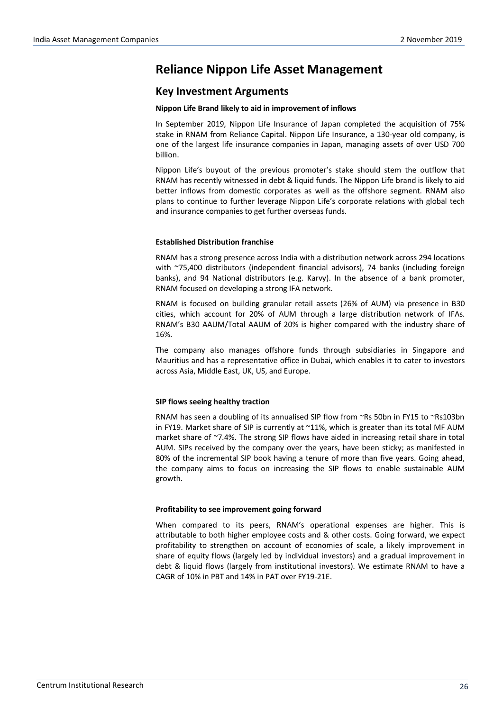## **Reliance Nippon Life Asset Management**

## **Key Investment Arguments**

#### **Nippon Life Brand likely to aid in improvement of inflows**

In September 2019, Nippon Life Insurance of Japan completed the acquisition of 75% stake in RNAM from Reliance Capital. Nippon Life Insurance, a 130-year old company, is one of the largest life insurance companies in Japan, managing assets of over USD 700 billion.

Nippon Life's buyout of the previous promoter's stake should stem the outflow that RNAM has recently witnessed in debt & liquid funds. The Nippon Life brand is likely to aid better inflows from domestic corporates as well as the offshore segment. RNAM also plans to continue to further leverage Nippon Life's corporate relations with global tech and insurance companies to get further overseas funds.

#### **Established Distribution franchise**

RNAM has a strong presence across India with a distribution network across 294 locations with ~75,400 distributors (independent financial advisors), 74 banks (including foreign banks), and 94 National distributors (e.g. Karvy). In the absence of a bank promoter, RNAM focused on developing a strong IFA network.

RNAM is focused on building granular retail assets (26% of AUM) via presence in B30 cities, which account for 20% of AUM through a large distribution network of IFAs. RNAM's B30 AAUM/Total AAUM of 20% is higher compared with the industry share of 16%.

The company also manages offshore funds through subsidiaries in Singapore and Mauritius and has a representative office in Dubai, which enables it to cater to investors across Asia, Middle East, UK, US, and Europe.

#### **SIP flows seeing healthy traction**

RNAM has seen a doubling of its annualised SIP flow from ~Rs 50bn in FY15 to ~Rs103bn in FY19. Market share of SIP is currently at ~11%, which is greater than its total MF AUM market share of ~7.4%. The strong SIP flows have aided in increasing retail share in total AUM. SIPs received by the company over the years, have been sticky; as manifested in 80% of the incremental SIP book having a tenure of more than five years. Going ahead, the company aims to focus on increasing the SIP flows to enable sustainable AUM growth.

#### **Profitability to see improvement going forward**

When compared to its peers, RNAM's operational expenses are higher. This is attributable to both higher employee costs and & other costs. Going forward, we expect profitability to strengthen on account of economies of scale, a likely improvement in share of equity flows (largely led by individual investors) and a gradual improvement in debt & liquid flows (largely from institutional investors). We estimate RNAM to have a CAGR of 10% in PBT and 14% in PAT over FY19-21E.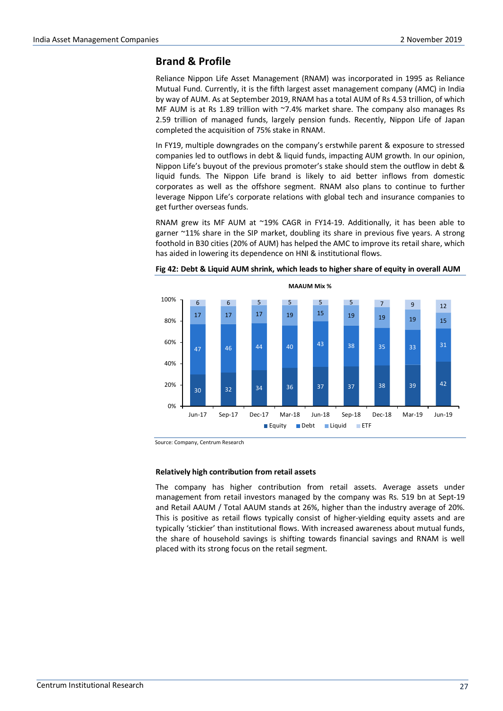## **Brand & Profile**

Reliance Nippon Life Asset Management (RNAM) was incorporated in 1995 as Reliance Mutual Fund. Currently, it is the fifth largest asset management company (AMC) in India by way of AUM. As at September 2019, RNAM has a total AUM of Rs 4.53 trillion, of which MF AUM is at Rs 1.89 trillion with ~7.4% market share. The company also manages Rs 2.59 trillion of managed funds, largely pension funds. Recently, Nippon Life of Japan completed the acquisition of 75% stake in RNAM.

In FY19, multiple downgrades on the company's erstwhile parent & exposure to stressed companies led to outflows in debt & liquid funds, impacting AUM growth. In our opinion, Nippon Life's buyout of the previous promoter's stake should stem the outflow in debt & liquid funds. The Nippon Life brand is likely to aid better inflows from domestic corporates as well as the offshore segment. RNAM also plans to continue to further leverage Nippon Life's corporate relations with global tech and insurance companies to get further overseas funds.

RNAM grew its MF AUM at ~19% CAGR in FY14-19. Additionally, it has been able to garner ~11% share in the SIP market, doubling its share in previous five years. A strong foothold in B30 cities (20% of AUM) has helped the AMC to improve its retail share, which has aided in lowering its dependence on HNI & institutional flows.





Source: Company, Centrum Research

#### **Relatively high contribution from retail assets**

The company has higher contribution from retail assets. Average assets under management from retail investors managed by the company was Rs. 519 bn at Sept-19 and Retail AAUM / Total AAUM stands at 26%, higher than the industry average of 20%. This is positive as retail flows typically consist of higher-yielding equity assets and are typically 'stickier' than institutional flows. With increased awareness about mutual funds, the share of household savings is shifting towards financial savings and RNAM is well placed with its strong focus on the retail segment.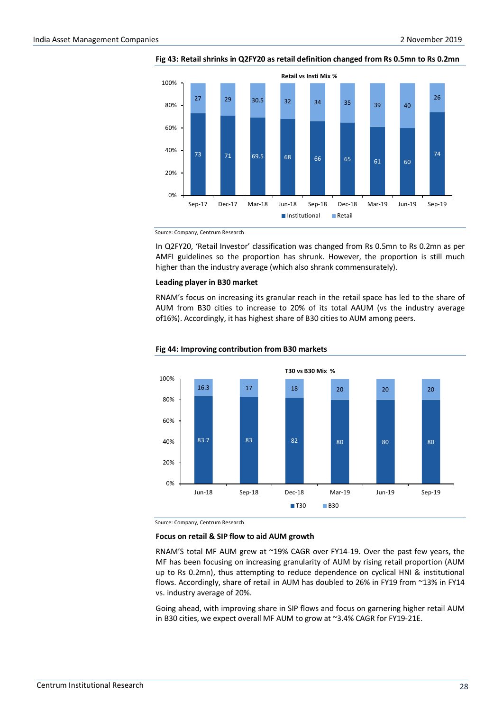**Fig 43: Retail shrinks in Q2FY20 as retail definition changed from Rs 0.5mn to Rs 0.2mn**



Source: Company, Centrum Research

In Q2FY20, 'Retail Investor' classification was changed from Rs 0.5mn to Rs 0.2mn as per AMFI guidelines so the proportion has shrunk. However, the proportion is still much higher than the industry average (which also shrank commensurately).

#### **Leading player in B30 market**

RNAM's focus on increasing its granular reach in the retail space has led to the share of AUM from B30 cities to increase to 20% of its total AAUM (vs the industry average of16%). Accordingly, it has highest share of B30 cities to AUM among peers.



#### **Fig 44: Improving contribution from B30 markets**

Source: Company, Centrum Research

#### **Focus on retail & SIP flow to aid AUM growth**

RNAM'S total MF AUM grew at ~19% CAGR over FY14-19. Over the past few years, the MF has been focusing on increasing granularity of AUM by rising retail proportion (AUM up to Rs 0.2mn), thus attempting to reduce dependence on cyclical HNI & institutional flows. Accordingly, share of retail in AUM has doubled to 26% in FY19 from ~13% in FY14 vs. industry average of 20%.

Going ahead, with improving share in SIP flows and focus on garnering higher retail AUM in B30 cities, we expect overall MF AUM to grow at ~3.4% CAGR for FY19-21E.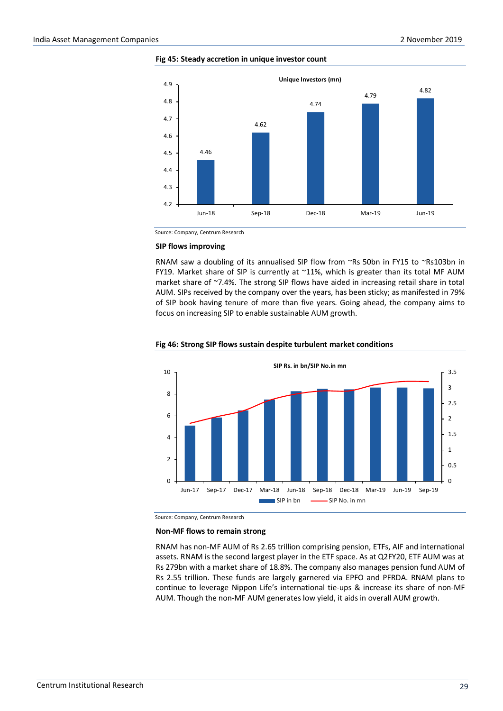#### **Fig 45: Steady accretion in unique investor count**



Source: Company, Centrum Research

#### **SIP flows improving**

RNAM saw a doubling of its annualised SIP flow from ~Rs 50bn in FY15 to ~Rs103bn in FY19. Market share of SIP is currently at  $~11\%$ , which is greater than its total MF AUM market share of ~7.4%. The strong SIP flows have aided in increasing retail share in total AUM. SIPs received by the company over the years, has been sticky; as manifested in 79% of SIP book having tenure of more than five years. Going ahead, the company aims to focus on increasing SIP to enable sustainable AUM growth.



#### **Fig 46: Strong SIP flows sustain despite turbulent market conditions**

Source: Company, Centrum Research

#### **Non-MF flows to remain strong**

RNAM has non-MF AUM of Rs 2.65 trillion comprising pension, ETFs, AIF and international assets. RNAM is the second largest player in the ETF space. As at Q2FY20, ETF AUM was at Rs 279bn with a market share of 18.8%. The company also manages pension fund AUM of Rs 2.55 trillion. These funds are largely garnered via EPFO and PFRDA. RNAM plans to continue to leverage Nippon Life's international tie-ups & increase its share of non-MF AUM. Though the non-MF AUM generates low yield, it aids in overall AUM growth.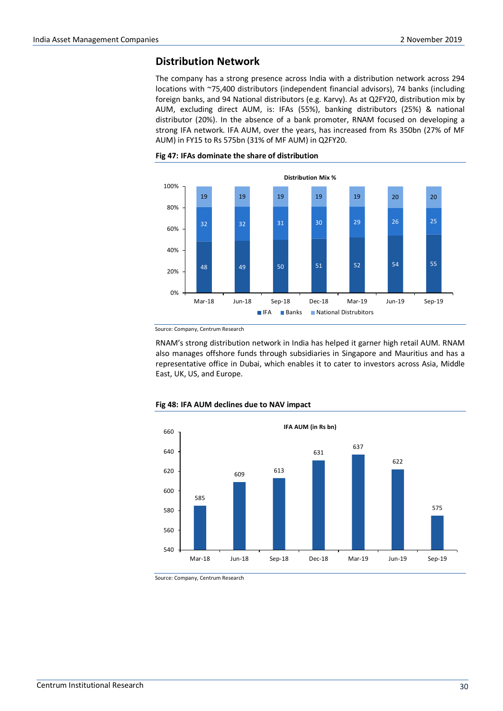#### **Distribution Network**

The company has a strong presence across India with a distribution network across 294 locations with ~75,400 distributors (independent financial advisors), 74 banks (including foreign banks, and 94 National distributors (e.g. Karvy). As at Q2FY20, distribution mix by AUM, excluding direct AUM, is: IFAs (55%), banking distributors (25%) & national distributor (20%). In the absence of a bank promoter, RNAM focused on developing a strong IFA network. IFA AUM, over the years, has increased from Rs 350bn (27% of MF AUM) in FY15 to Rs 575bn (31% of MF AUM) in Q2FY20.





Source: Company, Centrum Research

RNAM's strong distribution network in India has helped it garner high retail AUM. RNAM also manages offshore funds through subsidiaries in Singapore and Mauritius and has a representative office in Dubai, which enables it to cater to investors across Asia, Middle East, UK, US, and Europe.



#### **Fig 48: IFA AUM declines due to NAV impact**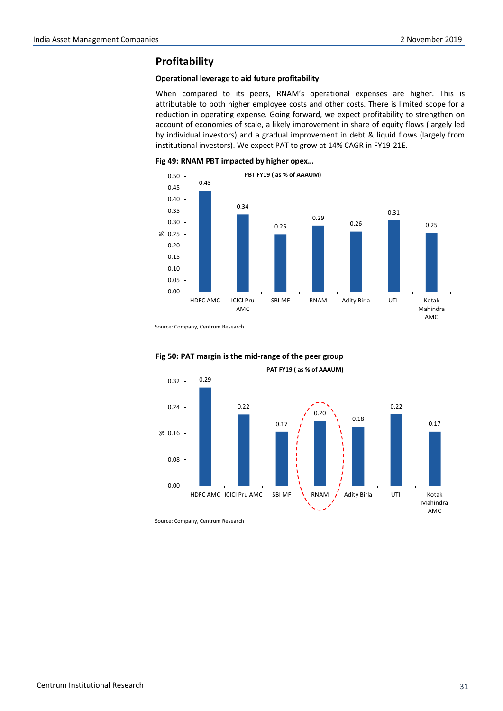### **Profitability**

#### **Operational leverage to aid future profitability**

When compared to its peers, RNAM's operational expenses are higher. This is attributable to both higher employee costs and other costs. There is limited scope for a reduction in operating expense. Going forward, we expect profitability to strengthen on account of economies of scale, a likely improvement in share of equity flows (largely led by individual investors) and a gradual improvement in debt & liquid flows (largely from institutional investors). We expect PAT to grow at 14% CAGR in FY19-21E.

**Fig 49: RNAM PBT impacted by higher opex…**



Source: Company, Centrum Research



#### **Fig 50: PAT margin is the mid-range of the peer group**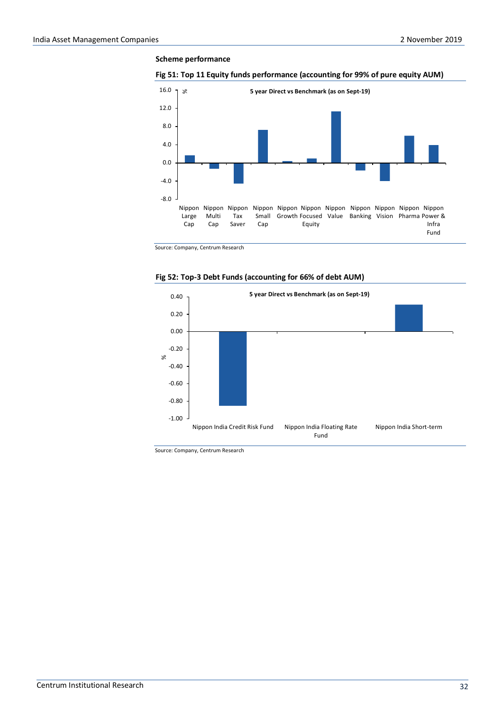#### **Scheme performance**





Source: Company, Centrum Research



Fund

Nippon India Short-term

Nippon India Credit Risk Fund Nippon India Floating Rate

Source: Company, Centrum Research

-1.00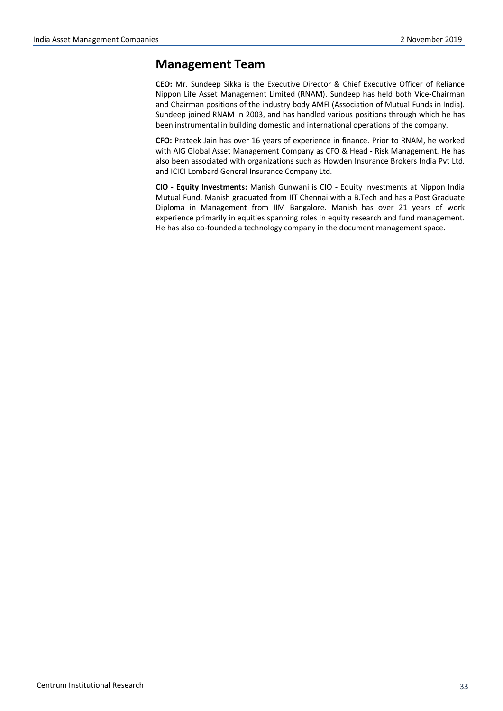## **Management Team**

**CEO:** Mr. Sundeep Sikka is the Executive Director & Chief Executive Officer of Reliance Nippon Life Asset Management Limited (RNAM). Sundeep has held both Vice-Chairman and Chairman positions of the industry body AMFI (Association of Mutual Funds in India). Sundeep joined RNAM in 2003, and has handled various positions through which he has been instrumental in building domestic and international operations of the company.

**CFO:** Prateek Jain has over 16 years of experience in finance. Prior to RNAM, he worked with AIG Global Asset Management Company as CFO & Head - Risk Management. He has also been associated with organizations such as Howden Insurance Brokers India Pvt Ltd. and ICICI Lombard General Insurance Company Ltd.

**CIO - Equity Investments:** Manish Gunwani is CIO - Equity Investments at Nippon India Mutual Fund. Manish graduated from IIT Chennai with a B.Tech and has a Post Graduate Diploma in Management from IIM Bangalore. Manish has over 21 years of work experience primarily in equities spanning roles in equity research and fund management. He has also co-founded a technology company in the document management space.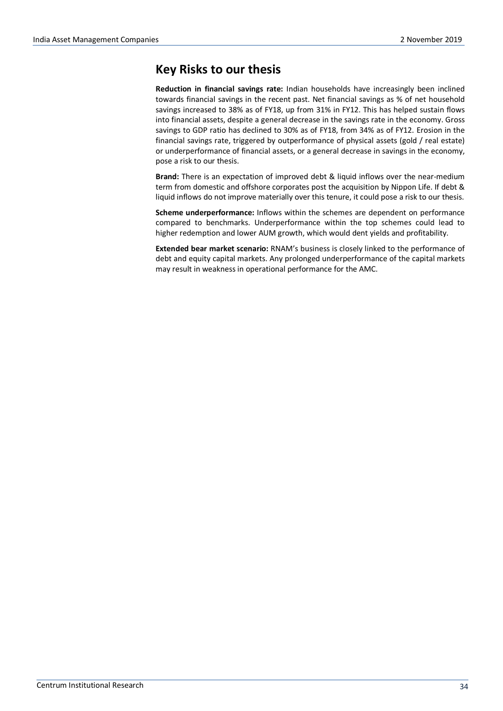## **Key Risks to our thesis**

**Reduction in financial savings rate:** Indian households have increasingly been inclined towards financial savings in the recent past. Net financial savings as % of net household savings increased to 38% as of FY18, up from 31% in FY12. This has helped sustain flows into financial assets, despite a general decrease in the savings rate in the economy. Gross savings to GDP ratio has declined to 30% as of FY18, from 34% as of FY12. Erosion in the financial savings rate, triggered by outperformance of physical assets (gold / real estate) or underperformance of financial assets, or a general decrease in savings in the economy, pose a risk to our thesis.

**Brand:** There is an expectation of improved debt & liquid inflows over the near-medium term from domestic and offshore corporates post the acquisition by Nippon Life. If debt & liquid inflows do not improve materially over this tenure, it could pose a risk to our thesis.

**Scheme underperformance:** Inflows within the schemes are dependent on performance compared to benchmarks. Underperformance within the top schemes could lead to higher redemption and lower AUM growth, which would dent yields and profitability.

**Extended bear market scenario:** RNAM's business is closely linked to the performance of debt and equity capital markets. Any prolonged underperformance of the capital markets may result in weakness in operational performance for the AMC.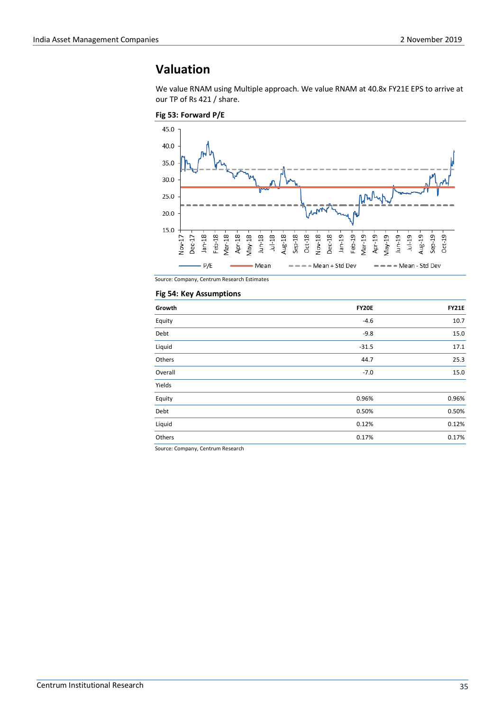## **Valuation**

We value RNAM using Multiple approach. We value RNAM at 40.8x FY21E EPS to arrive at our TP of Rs 421 / share.





Source: Company, Centrum Research Estimates

#### **Fig 54: Key Assumptions**

| Growth  | <b>FY20E</b> | <b>FY21E</b> |
|---------|--------------|--------------|
| Equity  | $-4.6$       | 10.7         |
| Debt    | $-9.8$       | 15.0         |
| Liquid  | $-31.5$      | 17.1         |
| Others  | 44.7         | 25.3         |
| Overall | $-7.0$       | 15.0         |
| Yields  |              |              |
| Equity  | 0.96%        | 0.96%        |
| Debt    | 0.50%        | 0.50%        |
| Liquid  | 0.12%        | 0.12%        |
| Others  | 0.17%        | 0.17%        |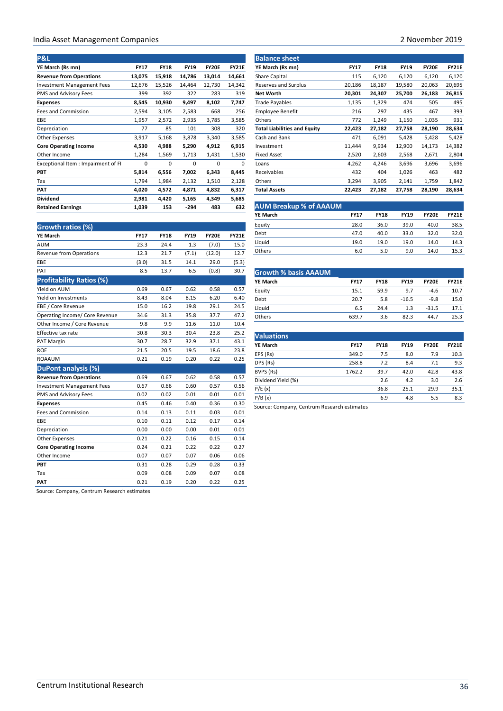#### India Asset Management Companies 2 November 2019

| <b>P&amp;L</b>                      |             |             |             |              |              |
|-------------------------------------|-------------|-------------|-------------|--------------|--------------|
| YE March (Rs mn)                    | <b>FY17</b> | <b>FY18</b> | <b>FY19</b> | <b>FY20E</b> | <b>FY21E</b> |
| <b>Revenue from Operations</b>      | 13,075      | 15,918      | 14,786      | 13,014       | 14,661       |
| <b>Investment Management Fees</b>   | 12,676      | 15,526      | 14,464      | 12,730       | 14,342       |
| PMS and Advisory Fees               | 399         | 392         | 322         | 283          | 319          |
| <b>Expenses</b>                     | 8,545       | 10,930      | 9,497       | 8,102        | 7,747        |
| <b>Fees and Commission</b>          | 2,594       | 3,105       | 2,583       | 668          | 256          |
| EBE                                 | 1,957       | 2,572       | 2,935       | 3,785        | 3,585        |
| Depreciation                        | 77          | 85          | 101         | 308          | 320          |
| Other Expenses                      | 3,917       | 5,168       | 3,878       | 3,340        | 3,585        |
| <b>Core Operating Income</b>        | 4,530       | 4,988       | 5,290       | 4,912        | 6,915        |
| Other Income                        | 1,284       | 1,569       | 1,713       | 1,431        | 1,530        |
| Exceptional Item : Impairment of FI | 0           | 0           | $\Omega$    | 0            | $\Omega$     |
| <b>PBT</b>                          | 5,814       | 6,556       | 7,002       | 6,343        | 8,445        |
| Tax                                 | 1,794       | 1,984       | 2,132       | 1,510        | 2,128        |
| <b>PAT</b>                          | 4,020       | 4,572       | 4,871       | 4,832        | 6,317        |
| <b>Dividend</b>                     | 2,981       | 4,420       | 5,165       | 4,349        | 5,685        |
| <b>Retained Earnings</b>            | 1,039       | 153         | -294        | 483          | 632          |

| Growth ratios (%)                 |             |             |             |              |              |
|-----------------------------------|-------------|-------------|-------------|--------------|--------------|
| <b>YE March</b>                   | <b>FY17</b> | <b>FY18</b> | <b>FY19</b> | <b>FY20E</b> | <b>FY21E</b> |
| <b>AUM</b>                        | 23.3        | 24.4        | 1.3         | (7.0)        | 15.0         |
| <b>Revenue from Operations</b>    | 12.3        | 21.7        | (7.1)       | (12.0)       | 12.7         |
| EBE                               | (3.0)       | 31.5        | 14.1        | 29.0         | (5.3)        |
| PAT                               | 8.5         | 13.7        | 6.5         | (0.8)        | 30.7         |
| <b>Profitability Ratios (%)</b>   |             |             |             |              |              |
| Yield on AUM                      | 0.69        | 0.67        | 0.62        | 0.58         | 0.57         |
| Yield on Investments              | 8.43        | 8.04        | 8.15        | 6.20         | 6.40         |
| EBE / Core Revenue                | 15.0        | 16.2        | 19.8        | 29.1         | 24.5         |
| Operating Income/ Core Revenue    | 34.6        | 31.3        | 35.8        | 37.7         | 47.2         |
| Other Income / Core Revenue       | 9.8         | 9.9         | 11.6        | 11.0         | 10.4         |
| Effective tax rate                | 30.8        | 30.3        | 30.4        | 23.8         | 25.2         |
| PAT Margin                        | 30.7        | 28.7        | 32.9        | 37.1         | 43.1         |
| <b>ROE</b>                        | 21.5        | 20.5        | 19.5        | 18.6         | 23.8         |
| <b>ROAAUM</b>                     | 0.21        | 0.19        | 0.20        | 0.22         | 0.25         |
| DuPont analysis (%)               |             |             |             |              |              |
| <b>Revenue from Operations</b>    | 0.69        | 0.67        | 0.62        | 0.58         | 0.57         |
| <b>Investment Management Fees</b> | 0.67        | 0.66        | 0.60        | 0.57         | 0.56         |
| PMS and Advisory Fees             | 0.02        | 0.02        | 0.01        | 0.01         | 0.01         |
| <b>Expenses</b>                   | 0.45        | 0.46        | 0.40        | 0.36         | 0.30         |
| <b>Fees and Commission</b>        | 0.14        | 0.13        | 0.11        | 0.03         | 0.01         |
| EBE                               | 0.10        | 0.11        | 0.12        | 0.17         | 0.14         |
| Depreciation                      | 0.00        | 0.00        | 0.00        | 0.01         | 0.01         |
| <b>Other Expenses</b>             | 0.21        | 0.22        | 0.16        | 0.15         | 0.14         |
| <b>Core Operating Income</b>      | 0.24        | 0.21        | 0.22        | 0.22         | 0.27         |
| Other Income                      | 0.07        | 0.07        | 0.07        | 0.06         | 0.06         |
| PBT                               | 0.31        | 0.28        | 0.29        | 0.28         | 0.33         |
| Tax                               | 0.09        | 0.08        | 0.09        | 0.07         | 0.08         |
| PAT                               | 0.21        | 0.19        | 0.20        | 0.22         | 0.25         |

| <b>Balance sheet</b>                |             |             |             |              |              |
|-------------------------------------|-------------|-------------|-------------|--------------|--------------|
| YE March (Rs mn)                    | <b>FY17</b> | <b>FY18</b> | <b>FY19</b> | <b>FY20E</b> | <b>FY21E</b> |
| <b>Share Capital</b>                | 115         | 6,120       | 6,120       | 6,120        | 6,120        |
| <b>Reserves and Surplus</b>         | 20,186      | 18,187      | 19,580      | 20,063       | 20,695       |
| <b>Net Worth</b>                    | 20,301      | 24,307      | 25,700      | 26,183       | 26,815       |
| <b>Trade Payables</b>               | 1,135       | 1,329       | 474         | 505          | 495          |
| <b>Employee Benefit</b>             | 216         | 297         | 435         | 467          | 393          |
| Others                              | 772         | 1,249       | 1,150       | 1,035        | 931          |
| <b>Total Liabilities and Equity</b> | 22,423      | 27,182      | 27,758      | 28,190       | 28,634       |
| Cash and Bank                       | 471         | 6,091       | 5,428       | 5,428        | 5,428        |
| Investment                          | 11,444      | 9,934       | 12,900      | 14,173       | 14,382       |
| <b>Fixed Asset</b>                  | 2,520       | 2,603       | 2,568       | 2,671        | 2,804        |
| Loans                               | 4,262       | 4,246       | 3,696       | 3,696        | 3,696        |
| Receivables                         | 432         | 404         | 1,026       | 463          | 482          |
| Others                              | 3,294       | 3,905       | 2,141       | 1,759        | 1,842        |
| <b>Total Assets</b>                 | 22,423      | 27,182      | 27,758      | 28,190       | 28,634       |

#### **AUM Breakup % of AAAUM**

| <b>AUIVI DI CARUP 70 UI AAAUIVI</b> |             |             |             |              |              |
|-------------------------------------|-------------|-------------|-------------|--------------|--------------|
| <b>YE March</b>                     | <b>FY17</b> | <b>FY18</b> | <b>FY19</b> | <b>FY20E</b> | <b>FY21E</b> |
| Equity                              | 28.0        | 36.0        | 39.0        | 40.0         | 38.5         |
| Debt                                | 47.0        | 40.0        | 33.0        | 32.0         | 32.0         |
| Liquid                              | 19.0        | 19.0        | 19.0        | 14.0         | 14.3         |
| Others                              | 6.0         | 5.0         | 9.0         | 14.0         | 15.3         |
|                                     |             |             |             |              |              |

| <b>Growth % basis AAAUM</b> |             |             |             |              |              |  |  |
|-----------------------------|-------------|-------------|-------------|--------------|--------------|--|--|
| <b>YE March</b>             | <b>FY17</b> | <b>FY18</b> | <b>FY19</b> | <b>FY20E</b> | <b>FY21E</b> |  |  |
| Equity                      | 15.1        | 59.9        | 9.7         | $-4.6$       | 10.7         |  |  |
| Debt                        | 20.7        | 5.8         | $-16.5$     | $-9.8$       | 15.0         |  |  |
| Liquid                      | 6.5         | 24.4        | 1.3         | $-31.5$      | 17.1         |  |  |
| Others                      | 639.7       | 3.6         | 82.3        | 44.7         | 25.3         |  |  |
|                             |             |             |             |              |              |  |  |

| <b>Valuations</b>  |             |             |             |              |              |  |  |
|--------------------|-------------|-------------|-------------|--------------|--------------|--|--|
| <b>YE March</b>    | <b>FY17</b> | <b>FY18</b> | <b>FY19</b> | <b>FY20E</b> | <b>FY21E</b> |  |  |
| EPS (Rs)           | 349.0       | 7.5         | 8.0         | 7.9          | 10.3         |  |  |
| DPS (Rs)           | 258.8       | 7.2         | 8.4         | 7.1          | 9.3          |  |  |
| BVPS (Rs)          | 1762.2      | 39.7        | 42.0        | 42.8         | 43.8         |  |  |
| Dividend Yield (%) |             | 2.6         | 4.2         | 3.0          | 2.6          |  |  |
| P/E(x)             |             | 36.8        | 25.1        | 29.9         | 35.1         |  |  |
| P/B(x)             |             | 6.9         | 4.8         | 5.5          | 8.3          |  |  |

Source: Company, Centrum Research estimates

Source: Company, Centrum Research estimates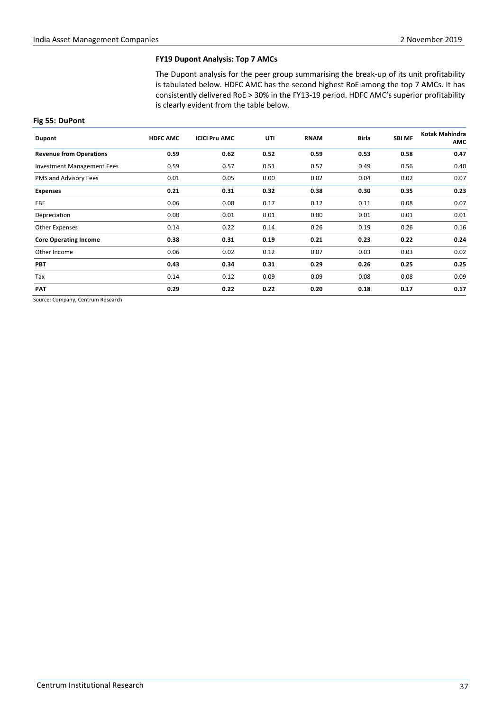#### **FY19 Dupont Analysis: Top 7 AMCs**

The Dupont analysis for the peer group summarising the break-up of its unit profitability is tabulated below. HDFC AMC has the second highest RoE among the top 7 AMCs. It has consistently delivered RoE > 30% in the FY13-19 period. HDFC AMC's superior profitability is clearly evident from the table below.

#### **Fig 55: DuPont**

| <b>Dupont</b>                     | <b>HDFC AMC</b> | <b>ICICI Pru AMC</b> | UTI  | <b>RNAM</b> | <b>Birla</b> | <b>SBI MF</b> | Kotak Mahindra<br><b>AMC</b> |
|-----------------------------------|-----------------|----------------------|------|-------------|--------------|---------------|------------------------------|
| <b>Revenue from Operations</b>    | 0.59            | 0.62                 | 0.52 | 0.59        | 0.53         | 0.58          | 0.47                         |
| <b>Investment Management Fees</b> | 0.59            | 0.57                 | 0.51 | 0.57        | 0.49         | 0.56          | 0.40                         |
| PMS and Advisory Fees             | 0.01            | 0.05                 | 0.00 | 0.02        | 0.04         | 0.02          | 0.07                         |
| <b>Expenses</b>                   | 0.21            | 0.31                 | 0.32 | 0.38        | 0.30         | 0.35          | 0.23                         |
| EBE                               | 0.06            | 0.08                 | 0.17 | 0.12        | 0.11         | 0.08          | 0.07                         |
| Depreciation                      | 0.00            | 0.01                 | 0.01 | 0.00        | 0.01         | 0.01          | 0.01                         |
| Other Expenses                    | 0.14            | 0.22                 | 0.14 | 0.26        | 0.19         | 0.26          | 0.16                         |
| <b>Core Operating Income</b>      | 0.38            | 0.31                 | 0.19 | 0.21        | 0.23         | 0.22          | 0.24                         |
| Other Income                      | 0.06            | 0.02                 | 0.12 | 0.07        | 0.03         | 0.03          | 0.02                         |
| <b>PBT</b>                        | 0.43            | 0.34                 | 0.31 | 0.29        | 0.26         | 0.25          | 0.25                         |
| Tax                               | 0.14            | 0.12                 | 0.09 | 0.09        | 0.08         | 0.08          | 0.09                         |
| <b>PAT</b>                        | 0.29            | 0.22                 | 0.22 | 0.20        | 0.18         | 0.17          | 0.17                         |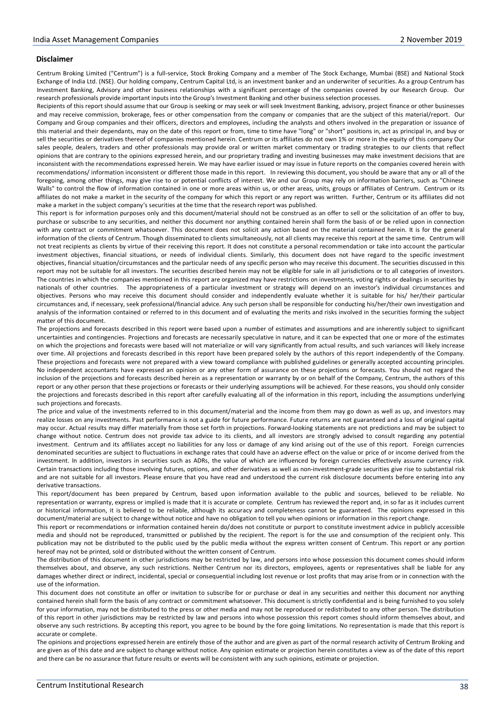#### **Disclaimer**

Centrum Broking Limited ("Centrum") is a full-service, Stock Broking Company and a member of The Stock Exchange, Mumbai (BSE) and National Stock Exchange of India Ltd. (NSE). Our holding company, Centrum Capital Ltd, is an investment banker and an underwriter of securities. As a group Centrum has Investment Banking, Advisory and other business relationships with a significant percentage of the companies covered by our Research Group. Our research professionals provide important inputs into the Group's Investment Banking and other business selection processes.

Recipients of this report should assume that our Group is seeking or may seek or will seek Investment Banking, advisory, project finance or other businesses and may receive commission, brokerage, fees or other compensation from the company or companies that are the subject of this material/report. Our Company and Group companies and their officers, directors and employees, including the analysts and others involved in the preparation or issuance of this material and their dependants, may on the date of this report or from, time to time have "long" or "short" positions in, act as principal in, and buy or sell the securities or derivatives thereof of companies mentioned herein. Centrum or its affiliates do not own 1% or more in the equity of this company Our sales people, dealers, traders and other professionals may provide oral or written market commentary or trading strategies to our clients that reflect opinions that are contrary to the opinions expressed herein, and our proprietary trading and investing businesses may make investment decisions that are inconsistent with the recommendations expressed herein. We may have earlier issued or may issue in future reports on the companies covered herein with recommendations/ information inconsistent or different those made in this report. In reviewing this document, you should be aware that any or all of the foregoing, among other things, may give rise to or potential conflicts of interest. We and our Group may rely on information barriers, such as "Chinese Walls" to control the flow of information contained in one or more areas within us, or other areas, units, groups or affiliates of Centrum. Centrum or its affiliates do not make a market in the security of the company for which this report or any report was written. Further, Centrum or its affiliates did not make a market in the subject company's securities at the time that the research report was published.

This report is for information purposes only and this document/material should not be construed as an offer to sell or the solicitation of an offer to buy, purchase or subscribe to any securities, and neither this document nor anything contained herein shall form the basis of or be relied upon in connection with any contract or commitment whatsoever. This document does not solicit any action based on the material contained herein. It is for the general information of the clients of Centrum. Though disseminated to clients simultaneously, not all clients may receive this report at the same time. Centrum will not treat recipients as clients by virtue of their receiving this report. It does not constitute a personal recommendation or take into account the particular investment objectives, financial situations, or needs of individual clients. Similarly, this document does not have regard to the specific investment objectives, financial situation/circumstances and the particular needs of any specific person who may receive this document. The securities discussed in this report may not be suitable for all investors. The securities described herein may not be eligible for sale in all jurisdictions or to all categories of investors. The countries in which the companies mentioned in this report are organized may have restrictions on investments, voting rights or dealings in securities by nationals of other countries. The appropriateness of a particular investment or strategy will depend on an investor's individual circumstances and objectives. Persons who may receive this document should consider and independently evaluate whether it is suitable for his/ her/their particular circumstances and, if necessary, seek professional/financial advice. Any such person shall be responsible for conducting his/her/their own investigation and analysis of the information contained or referred to in this document and of evaluating the merits and risks involved in the securities forming the subject matter of this document.

The projections and forecasts described in this report were based upon a number of estimates and assumptions and are inherently subject to significant uncertainties and contingencies. Projections and forecasts are necessarily speculative in nature, and it can be expected that one or more of the estimates on which the projections and forecasts were based will not materialize or will vary significantly from actual results, and such variances will likely increase over time. All projections and forecasts described in this report have been prepared solely by the authors of this report independently of the Company. These projections and forecasts were not prepared with a view toward compliance with published guidelines or generally accepted accounting principles. No independent accountants have expressed an opinion or any other form of assurance on these projections or forecasts. You should not regard the inclusion of the projections and forecasts described herein as a representation or warranty by or on behalf of the Company, Centrum, the authors of this report or any other person that these projections or forecasts or their underlying assumptions will be achieved. For these reasons, you should only consider the projections and forecasts described in this report after carefully evaluating all of the information in this report, including the assumptions underlying such projections and forecasts.

The price and value of the investments referred to in this document/material and the income from them may go down as well as up, and investors may realize losses on any investments. Past performance is not a guide for future performance. Future returns are not guaranteed and a loss of original capital may occur. Actual results may differ materially from those set forth in projections. Forward-looking statements are not predictions and may be subject to change without notice. Centrum does not provide tax advice to its clients, and all investors are strongly advised to consult regarding any potential investment. Centrum and its affiliates accept no liabilities for any loss or damage of any kind arising out of the use of this report. Foreign currencies denominated securities are subject to fluctuations in exchange rates that could have an adverse effect on the value or price of or income derived from the investment. In addition, investors in securities such as ADRs, the value of which are influenced by foreign currencies effectively assume currency risk. Certain transactions including those involving futures, options, and other derivatives as well as non-investment-grade securities give rise to substantial risk and are not suitable for all investors. Please ensure that you have read and understood the current risk disclosure documents before entering into any derivative transactions.

This report/document has been prepared by Centrum, based upon information available to the public and sources, believed to be reliable. No representation or warranty, express or implied is made that it is accurate or complete. Centrum has reviewed the report and, in so far as it includes current or historical information, it is believed to be reliable, although its accuracy and completeness cannot be guaranteed. The opinions expressed in this document/material are subject to change without notice and have no obligation to tell you when opinions or information in this report change.

This report or recommendations or information contained herein do/does not constitute or purport to constitute investment advice in publicly accessible media and should not be reproduced, transmitted or published by the recipient. The report is for the use and consumption of the recipient only. This publication may not be distributed to the public used by the public media without the express written consent of Centrum. This report or any portion hereof may not be printed, sold or distributed without the written consent of Centrum.

The distribution of this document in other jurisdictions may be restricted by law, and persons into whose possession this document comes should inform themselves about, and observe, any such restrictions. Neither Centrum nor its directors, employees, agents or representatives shall be liable for any damages whether direct or indirect, incidental, special or consequential including lost revenue or lost profits that may arise from or in connection with the use of the information.

This document does not constitute an offer or invitation to subscribe for or purchase or deal in any securities and neither this document nor anything contained herein shall form the basis of any contract or commitment whatsoever. This document is strictly confidential and is being furnished to you solely for your information, may not be distributed to the press or other media and may not be reproduced or redistributed to any other person. The distribution of this report in other jurisdictions may be restricted by law and persons into whose possession this report comes should inform themselves about, and observe any such restrictions. By accepting this report, you agree to be bound by the fore going limitations. No representation is made that this report is accurate or complete.

The opinions and projections expressed herein are entirely those of the author and are given as part of the normal research activity of Centrum Broking and are given as of this date and are subject to change without notice. Any opinion estimate or projection herein constitutes a view as of the date of this report and there can be no assurance that future results or events will be consistent with any such opinions, estimate or projection.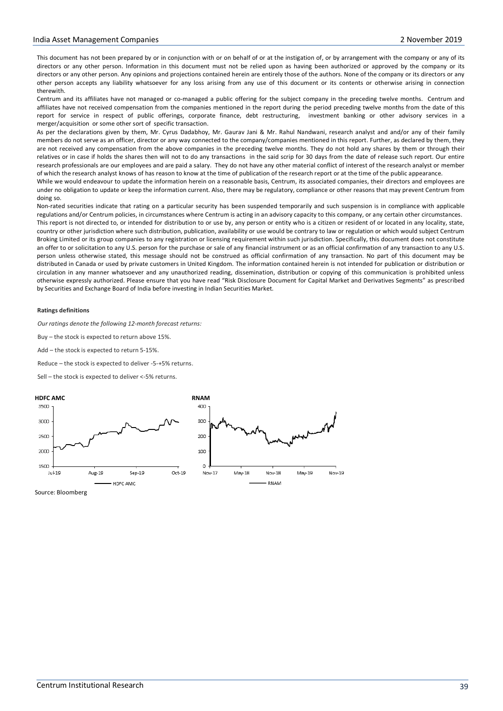#### India Asset Management Companies 2 November 2019

This document has not been prepared by or in conjunction with or on behalf of or at the instigation of, or by arrangement with the company or any of its directors or any other person. Information in this document must not be relied upon as having been authorized or approved by the company or its directors or any other person. Any opinions and projections contained herein are entirely those of the authors. None of the company or its directors or any other person accepts any liability whatsoever for any loss arising from any use of this document or its contents or otherwise arising in connection therewith.

Centrum and its affiliates have not managed or co-managed a public offering for the subject company in the preceding twelve months. Centrum and affiliates have not received compensation from the companies mentioned in the report during the period preceding twelve months from the date of this report for service in respect of public offerings, corporate finance, debt restructuring, investment banking or other advisory services in a merger/acquisition or some other sort of specific transaction.

As per the declarations given by them, Mr. Cyrus Dadabhoy, Mr. Gaurav Jani & Mr. Rahul Nandwani, research analyst and and/or any of their family members do not serve as an officer, director or any way connected to the company/companies mentioned in this report. Further, as declared by them, they are not received any compensation from the above companies in the preceding twelve months. They do not hold any shares by them or through their relatives or in case if holds the shares then will not to do any transactions in the said scrip for 30 days from the date of release such report. Our entire research professionals are our employees and are paid a salary. They do not have any other material conflict of interest of the research analyst or member of which the research analyst knows of has reason to know at the time of publication of the research report or at the time of the public appearance.

While we would endeavour to update the information herein on a reasonable basis, Centrum, its associated companies, their directors and employees are under no obligation to update or keep the information current. Also, there may be regulatory, compliance or other reasons that may prevent Centrum from doing so.

Non-rated securities indicate that rating on a particular security has been suspended temporarily and such suspension is in compliance with applicable regulations and/or Centrum policies, in circumstances where Centrum is acting in an advisory capacity to this company, or any certain other circumstances. This report is not directed to, or intended for distribution to or use by, any person or entity who is a citizen or resident of or located in any locality, state, country or other jurisdiction where such distribution, publication, availability or use would be contrary to law or regulation or which would subject Centrum Broking Limited or its group companies to any registration or licensing requirement within such jurisdiction. Specifically, this document does not constitute an offer to or solicitation to any U.S. person for the purchase or sale of any financial instrument or as an official confirmation of any transaction to any U.S. person unless otherwise stated, this message should not be construed as official confirmation of any transaction. No part of this document may be distributed in Canada or used by private customers in United Kingdom. The information contained herein is not intended for publication or distribution or circulation in any manner whatsoever and any unauthorized reading, dissemination, distribution or copying of this communication is prohibited unless otherwise expressly authorized. Please ensure that you have read "Risk Disclosure Document for Capital Market and Derivatives Segments" as prescribed by Securities and Exchange Board of India before investing in Indian Securities Market.

#### **Ratings definitions**

*Our ratings denote the following 12-month forecast returns:* 

Buy – the stock is expected to return above 15%.

Add – the stock is expected to return 5-15%.

Reduce – the stock is expected to deliver -5-+5% returns.

Sell – the stock is expected to deliver <-5% returns.



Source: Bloomberg